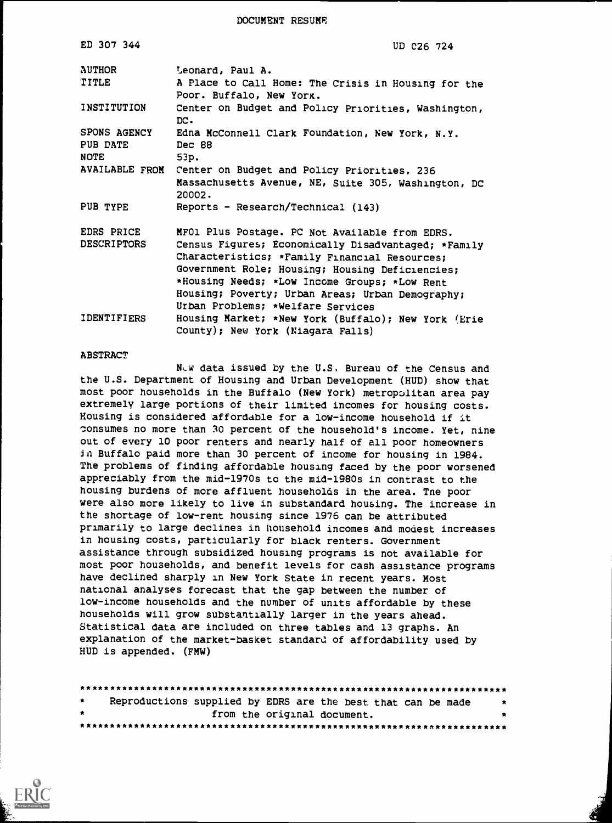DOCUMENT RESUME

| ED 307 344                              | UD C26 724                                                                                                                                                                                                                                                                                                                                          |
|-----------------------------------------|-----------------------------------------------------------------------------------------------------------------------------------------------------------------------------------------------------------------------------------------------------------------------------------------------------------------------------------------------------|
| <b>AUTHOR</b><br><b>TITLE</b>           | Leonard, Paul A.<br>A Place to Call Home: The Crisis in Housing for the                                                                                                                                                                                                                                                                             |
| INSTITUTION                             | Poor. Buffalo, New York.<br>Center on Budget and Policy Priorities, Washington,<br>DC.                                                                                                                                                                                                                                                              |
| SPONS AGENCY<br>PUB DATE<br><b>NOTE</b> | Edna McConnell Clark Foundation, New York, N.Y.<br>Dec 88<br>53p.                                                                                                                                                                                                                                                                                   |
| <b>AVAILABLE FROM</b>                   | Center on Budget and Policy Priorities, 236<br>Massachusetts Avenue, NE, Suite 305, Washington, DC<br>20002.                                                                                                                                                                                                                                        |
| PUB TYPE                                | Reports - Research/Technical (143)                                                                                                                                                                                                                                                                                                                  |
| EDRS PRICE<br><b>DESCRIPTORS</b>        | MFO1 Plus Postage. PC Not Available from EDRS.<br>Census Figures; Economically Disadvantaged; *Family<br>Characteristics; *Family Financial Resources;<br>Government Role; Housing; Housing Deficiencies;<br>*Housing Needs; *Low Income Groups; *Low Rent<br>Housing; Poverty; Urban Areas; Urban Demography;<br>Urban Problems; *Welfare Services |
| <b>IDENTIFIERS</b>                      | Housing Market; *New York (Buffalo); New York (Erie<br>County); New York (Niagara Falls)                                                                                                                                                                                                                                                            |

#### **ABSTRACT**

New data issued by the U.S, Bureau of the Census and the U.S. Department of Housing and Urban Development (HUD) show that most poor households in the Buffalo (New York) metropolitan area pay extremely large portions of their limited incomes for housing costs. Housing is considered affordable for a low-income household if it consumes no more than 30 percent of the household's income. Yet, nine out of every 10 poor renters and nearly half of all poor homeowners in Buffalo paid more than 30 percent of income for housing in 1984. The problems of finding affordable housing faced by the poor worsened appreciably from the mid-1970s to the mid-1980s in contrast to the housing burdens of more affluent households in the area. Tne poor were also more likely to live in substandard housing. The increase in the shortage of low-rent housing since 1976 can be attributed primarily to large declines in household incomes and modest increases in housing costs, particularly for black renters. Government assistance through subsidized housing programs is not available for most poor households, and benefit levels for cash assistance programs have declined sharply in New York State in recent years. Most national analyses forecast that the gap between the number of low-income households and the number of units affordable by these households will grow substantially larger in the years ahead. Statistical data are included on three tables and 13 graphs. An explanation of the market-basket standard of affordability used by HUD is appended. (FMW)

| $\star$ | Reproductions supplied by EDRS are the best that can be made<br>大 |  |
|---------|-------------------------------------------------------------------|--|
| $\star$ | from the original document.                                       |  |
|         |                                                                   |  |

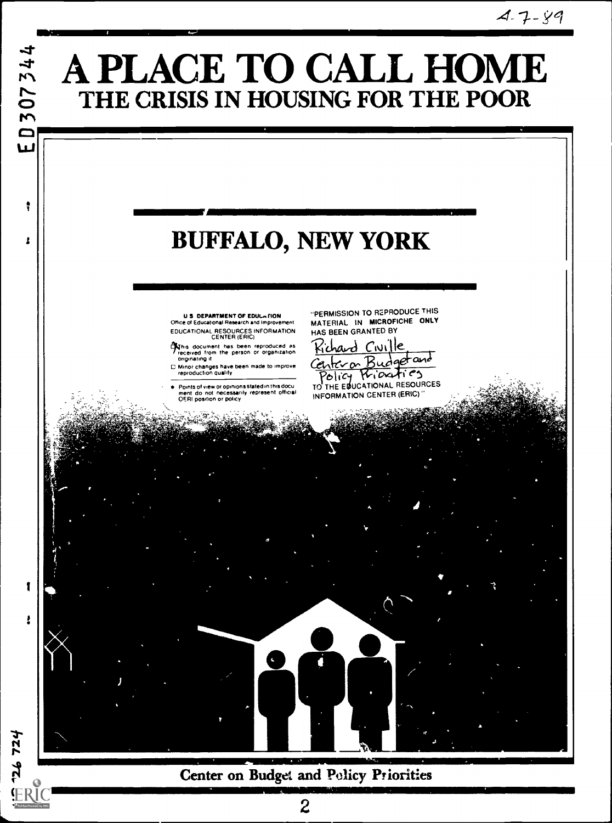

Center on Budget and Policy Priorities

126 724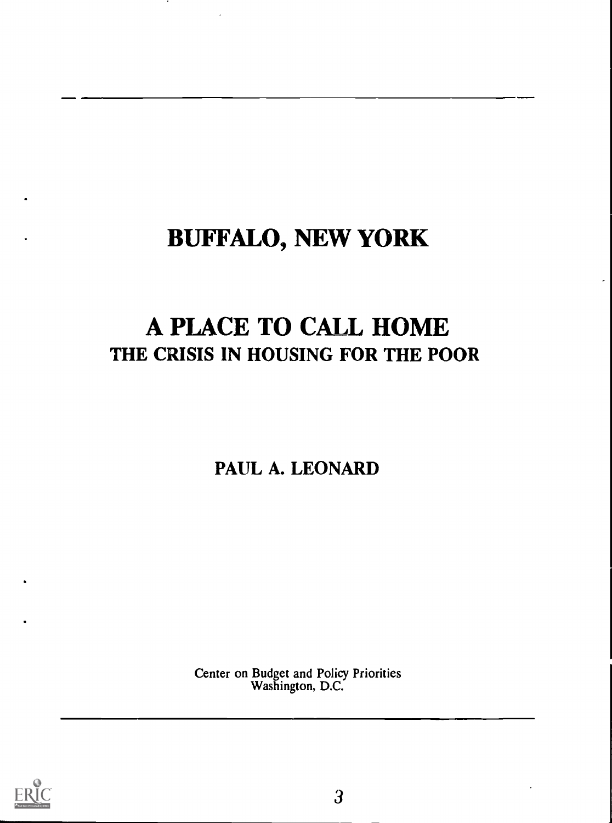# BUFFALO, NEW YORK

## A PLACE TO CALL HOME THE CRISIS IN HOUSING FOR THE POOR

PAUL A. LEONARD

Center on Budget and Policy Priorities Washington, D.C.

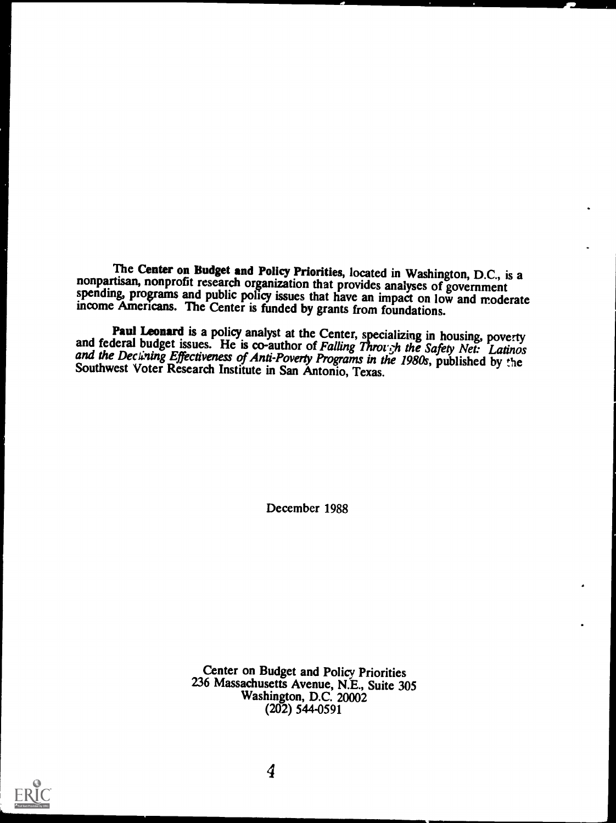The Center on Budget and Policy Priorities, located in Washington, D.C., is a nonpartisan, nonprofit research organization that provides analyses of government spending, programs and public policy issues that have an impac

**Paul Leonard** is a policy analyst at the Center, specializing in housing, poverty and federal budget issues. He is co-author of *Falling Through the Safety Net: Latinos* and the Dectining Effectiveness of Anti-Poverty Pro

December 1988

Center on Budget and Policy Priorities 236 Massachusetts Avenue, N.E., Suite 305 Washington, D.C. 20002 (202) 544-0591

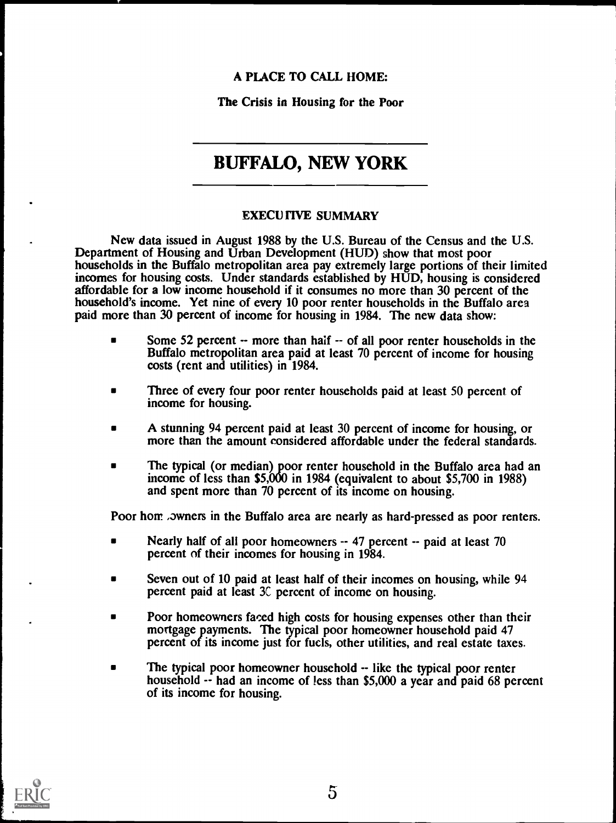### A PLACE TO CALL HOME:

The Crisis in Housing for the Poor

### BUFFALO, NEW YORK

### EXECUTIVE SUMMARY

New data issued in August 1988 by the U.S. Bureau of the Census and the U.S. Department of Housing and Urban Development (HUD) show that most poor households in the Buffalo metropolitan area pay extremely large portions of their limited incomes for housing costs. Under standards established by HUD, housing is considered affordable for a low income household if it consumes no more than 30 percent of the household's income. Yet nine of every 10 poor renter households in the Buffalo area paid more than 30 percent of income for housing in 1984. The new data show:

- Some 52 percent  $-$  more than half  $-$  of all poor renter households in the Buffalo metropolitan area paid at least 70 percent of income for housing costs (rent and utilities) in 1984.
- Three of every four poor renter households paid at least 50 percent of income for housing.
- A stunning 94 percent paid at least 30 percent of income for housing, or more than the amount considered affordable under the federal standards.
- The typical (or median) poor renter household in the Buffalo area had an income of less than \$5,000 in 1984 (equivalent to about \$5,700 in 1988) and spent more than 70 percent of its income on housing.

Poor hom , owners in the Buffalo area are nearly as hard-pressed as poor renters.

- Nearly half of all poor homeowners -- 47 percent -- paid at least 70 percent of their incomes for housing in 1984.
- Seven out of 10 paid at least half of their incomes on housing, while 94 percent paid at least 3C percent of income on housing.
- Poor homeowners faced high costs for housing expenses other than their mortgage payments. The typical poor homeowner household paid 47 percent of its income just for fuels, other utilities, and real estate taxes.
- The typical poor homeowner household  $-$  like the typical poor renter household -- had an income of less than \$5,000 a year and paid 68 percent of its income for housing.

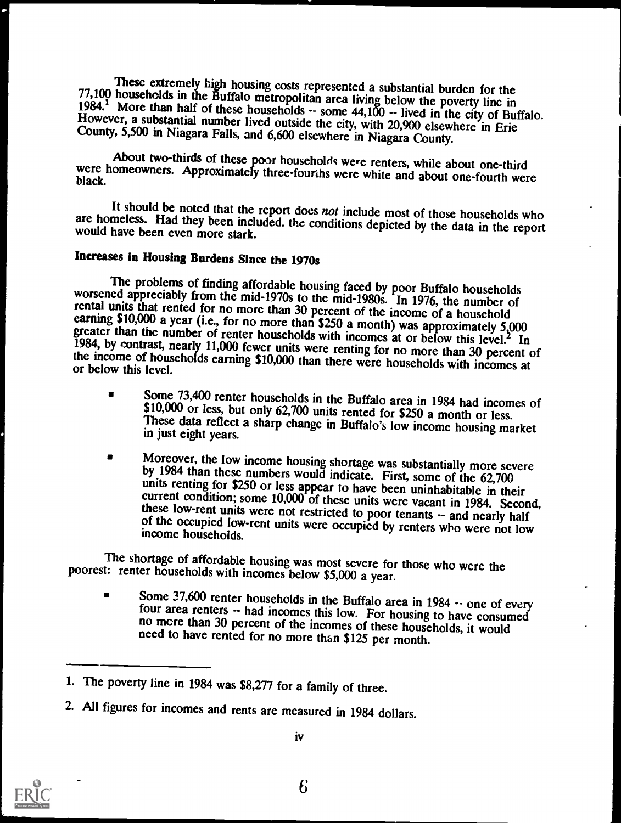These extremely high housing costs represented a substantial burden for the<br>77,100 households in the Buffalo metropolitan area living below the poverty line in<br>1984.<sup>1</sup> More than half of these households -- some 44,100 --

About two-thirds of these poor households were renters, while about one-third were homeowners. Approximately three-fourths were white and about one-fourth were black.

It should be noted that the report does not include most of those households who are homeless. Had they been included. the conditions depicted by the data in the report would have been even more stark.

### Increases in Housing Burdens Since the 1970s

The problems of finding affordable housing faced by poor Buffalo households<br>worsened appreciably from the mid-1970s to the mid-1980s. In 1976, the number of<br>rental units that rented for no more than 30 percent of the inco

- Some 73,400 renter households in the Buffalo area in 1984 had incomes of \$10,000 or less, but only 62,700 units rented for \$250 a month or less.<br>These data reflect a sharp change in Buffalo's low income housing market in j  $\blacksquare$
- Moreover, the low income housing shortage was substantially more severe<br>by 1984 than these numbers would indicate. First, some of the 62,700<br>units renting for \$250 or less appear to have been uninhabitable in their<br>current

The shortage of affordable housing was most severe for those who were the poorest: renter households with incomes below \$5,000 a year.

Some  $37,600$  renter households in the Buffalo area in 1984  $\cdot$  one of every four area renters  $\cdot$ - had incomes this low. For housing to have consumed no more than 30 percent of the incomes of these households, it would  $\blacksquare$ 

<sup>2.</sup> All figures for incomes and rents are measured in 1984 dollars.





<sup>1.</sup> The poverty line in 1984 was \$8,277 for a family of three.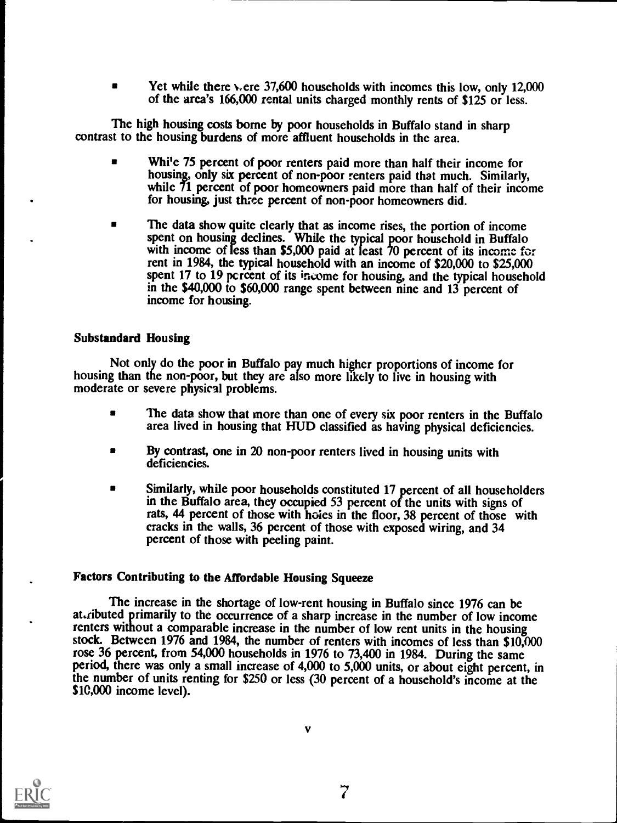Yet while there vere 37,600 households with incomes this low, only 12,000  $\blacksquare$ of the area's 166,000 rental units charged monthly rents of \$125 or less.

The high housing costs borne by poor households in Buffalo stand in sharp contrast to the housing burdens of more affluent households in the area.

- $\blacksquare$ Whi'e 75 percent of poor renters paid more than half their income for housing, only six percent of non-poor renters paid that much. Similarly, while 71 percent of poor homeowners paid more than half of their income for housing, just three percent of non-poor homeowners did.
- The data show quite clearly that as income rises, the portion of income spent on housing declines. While the typical poor household in Buffalo with income of less than \$5,000 paid at least 70 percent of its income for rent in 1984, the typical household with an income of \$20,000 to \$25,000 spent 17 to 19 percent of its income for housing, and the typical household in the \$40,000 to \$60,000 range spent between nine and 13 percent of income for housing.

### Substandard Housing

Not only do the poor in Buffalo pay much higher proportions of income for housing than the non-poor, but they are also more likely to live in housing with moderate or severe physical problems.

- The data show that more than one of every six poor renters in the Buffalo area lived in housing that HUD classified as having physical deficiencies.
- $\blacksquare$ By contrast, one in 20 non-poor renters lived in housing units with deficiencies.
- Similarly, while poor households constituted 17 percent of all householders  $\blacksquare$ in the Buffalo area, they occupied 53 percent of the units with signs of rats, 44 percent of those with holes in the floor, 38 percent of those with cracks in the walls, 36 percent of those with exposed wiring, and 34 percent of those with peeling paint.

### Factors Contributing to the Affordable Housing Squeeze

The increase in the shortage of low-rent housing in Buffalo since 1976 can be at ributed primarily to the occurrence of a sharp increase in the number of low income renters without a comparable increase in the number of low rent units in the housing stock. Between 1976 and 1984, the number of renters with incomes of less than \$10,000 rose 36 percent, from 54,000 households in 1976 to 73,400 in 1984. During the same period, there was only a small increase of 4,000 to 5,000 units, or about eight percent, in the number of units renting for \$250 or less (30 percent of a household's income at the \$10,000 income level).



V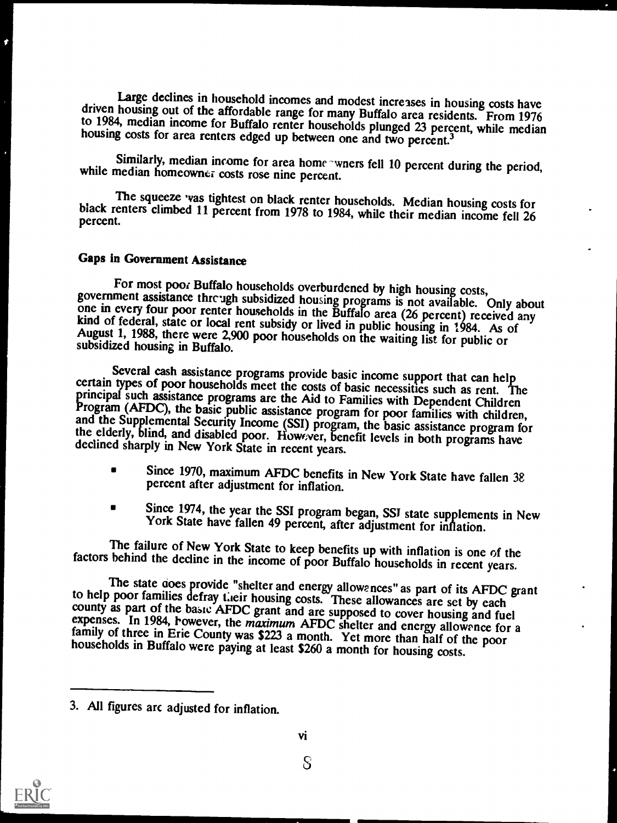Large declines in household incomes and modest increases in housing costs have<br>driven housing out of the affordable range for many Buffalo area residents. From 1976<br>to 1984, median income for Buffalo renter households plun

Similarly, median income for area home -wners fell 10 percent during the period, while median homeowner costs rose nine percent.

The squeeze was tightest on black renter households. Median housing costs for black renters climbed 11 percent from 1978 to 1984, while their median income fell 26 percent.

### Gaps in Government Assistance

For most poor Buffalo households overburdened by high housing costs,<br>government assistance through subsidized housing programs is not available. Only about<br>one in every four poor renter households in the Buffalo area (26 p

Several cash assistance programs provide basic income support that can help<br>certain types of poor households meet the costs of basic necessities such as rent. The<br>principal such assistance programs are the Aid to Families

- Since 1970, maximum AFDC benefits in New York State have fallen 38 percent after adjustment for inflation.
- Since 1974, the year the SSI program began, SST state supplements in New York State have fallen 49 percent, after adjustment for inflation.  $\blacksquare$

The failure of New York State to keep benefits up with inflation is one of the factors behind the decline in the income of poor Buffalo households in recent years.

The state does provide "shelter and energy allows nces" as part of its AFDC grant<br>to help poor families defray their housing costs. These allowances are set by each<br>county as part of the basic AFDC grant and are supposed t



S

<sup>3.</sup> All figures arc adjusted for inflation.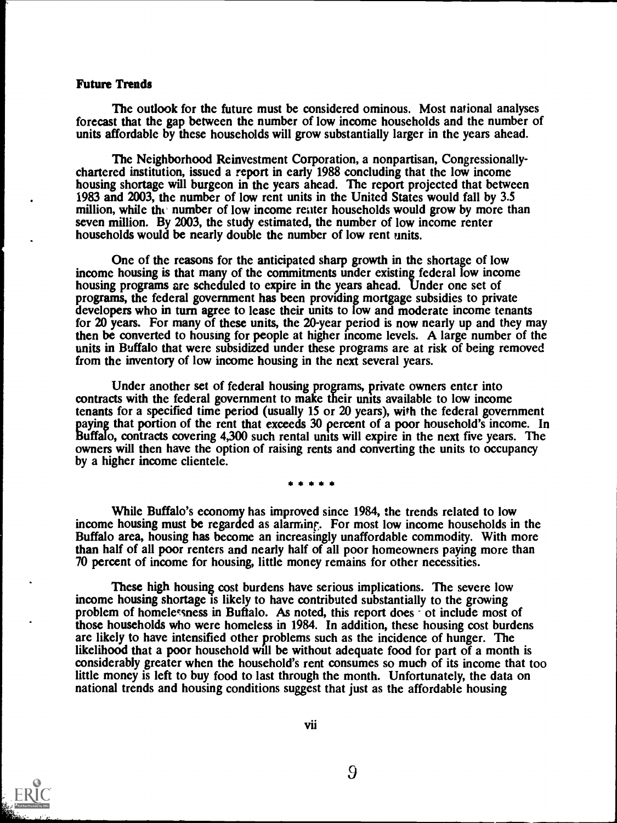#### Future Trends

The outlook for the future must be considered ominous. Most national analyses forecast that the gap between the number of low income households and the number of units affordable by these households will grow substantially larger in the years ahead.

The Neighborhood Reinvestment Corporation, a nonpartisan, Congressionallychartered institution, issued a report in early 1988 concluding that the low income housing shortage will burgeon in the years ahead. The report projected that between 1983 and 2003, the number of low rent units in the United States would fall by 3.5 million, while the number of low income reater households would grow by more than seven million. By 2003, the study estimated, the number of low income renter households would be nearly double the number of low rent units.

One of the reasons for the anticipated sharp growth in the shortage of low income housing is that many of the commitments under existing federal low income housing programs are scheduled to expire in the years ahead. Under one set of programs, the federal government has been providing mortgage subsidies to private developers who in turn agree to lease their units to low and moderate income tenants for 20 years. For many of these units, the 20-year period is now nearly up and they may then be converted to housing for people at higher income levels. A large number of the units in Buffalo that were subsidized under these programs are at risk of being removed from the inventory of low income housing in the next several years.

Under another set of federal housing programs, private owners enter into contracts with the federal government to make their units available to low income tenants for a specified time period (usually 15 or 20 years), with the federal government paying that portion of the rent that exceeds 30 percent of a poor household's income. In Buffalo, contracts covering 4,300 such rental units will expire in the next five years. The owners will then have the option of raising rents and converting the units to occupancy by a higher income clientele.

While Buffalo's economy has improved since 1984, the trends related to low income housing must be regarded as alarming. For most low income households in the Buffalo area, housing has become an increasingly unaffordable commodity. With more than half of all poor renters and nearly half of all poor homeowners paying more than 70 percent of income for housing, little money remains for other necessities.

These high housing cost burdens have serious implications. The severe low income housing shortage is likely to have contributed substantially to the growing problem of homelessness in Buftalo. As noted, this report does of include most of those households who were homeless in 1984. In addition, these housing cost burdens are likely to have intensified other problems such as the incidence of hunger. The likelihood that a poor household will be without adequate food for part of a month is considerably greater when the household's rent consumes so much of its income that too little money is left to buy food to last through the month. Unfortunately, the data on national trends and housing conditions suggest that just as the affordable housing



vii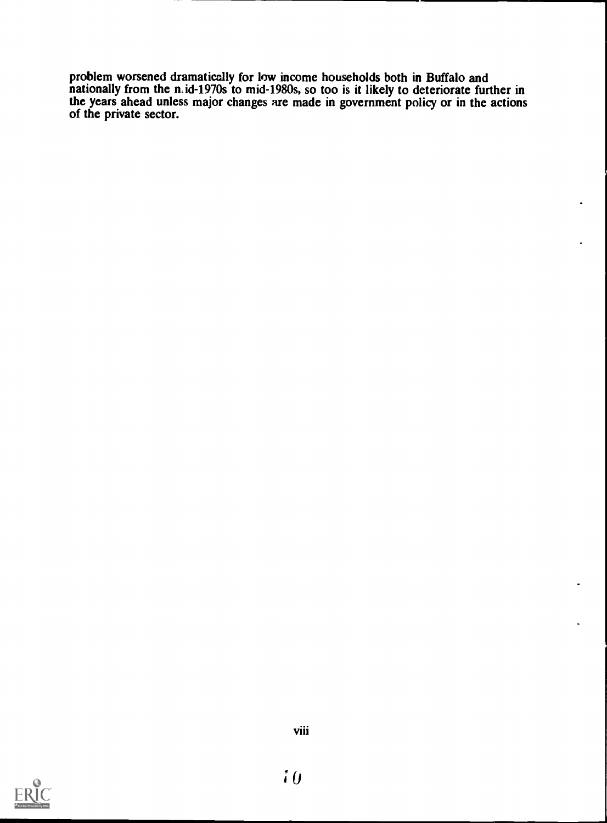problem worsened dramatically for low income households both in Buffalo and nationally from the n, id-1970s to mid-1980s, so too is it likely to deteriorate further in the years ahead unless major changes are made in government policy or in the actions of the private sector.

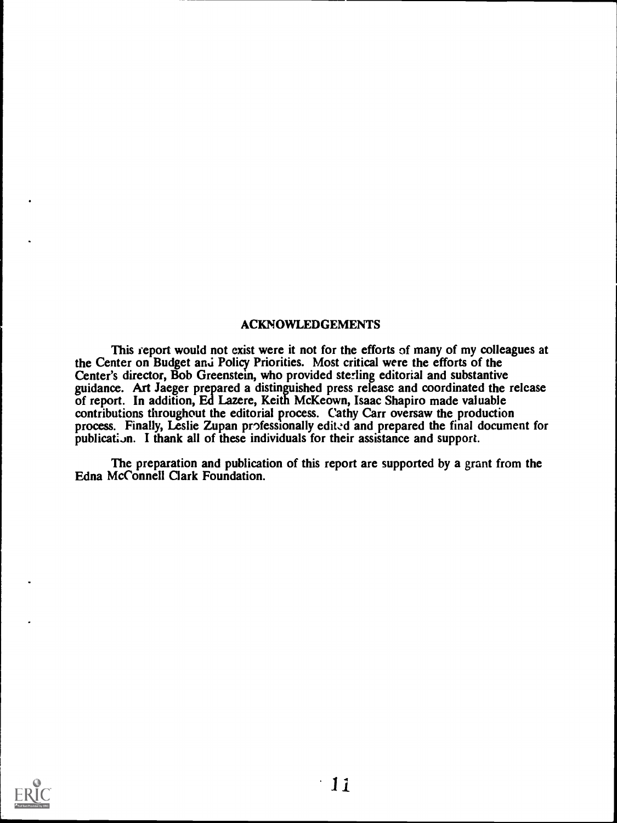### ACKNOWLEDGEMENTS

This ieport would not exist were it not for the efforts of many of my colleagues at the Center on Budget anj Policy Priorities. Most critical were the efforts of the Center's director, Bob Greenstein, who provided sterling editorial and substantive guidance. Art Jaeger prepared a distinguished press release and coordinated the release of report. In addition, Ed Lazere, Keith McKeown, Isaac Shapiro made valuable contributions throughout the editorial process. Cathy Carr oversaw the production process. Finally, Leslie Zupan professionally edited and prepared the final document for publication. I thank all of these individuals for their assistance and support.

The preparation and publication of this report are supported by a grant from the Edna McConnell Clark Foundation.

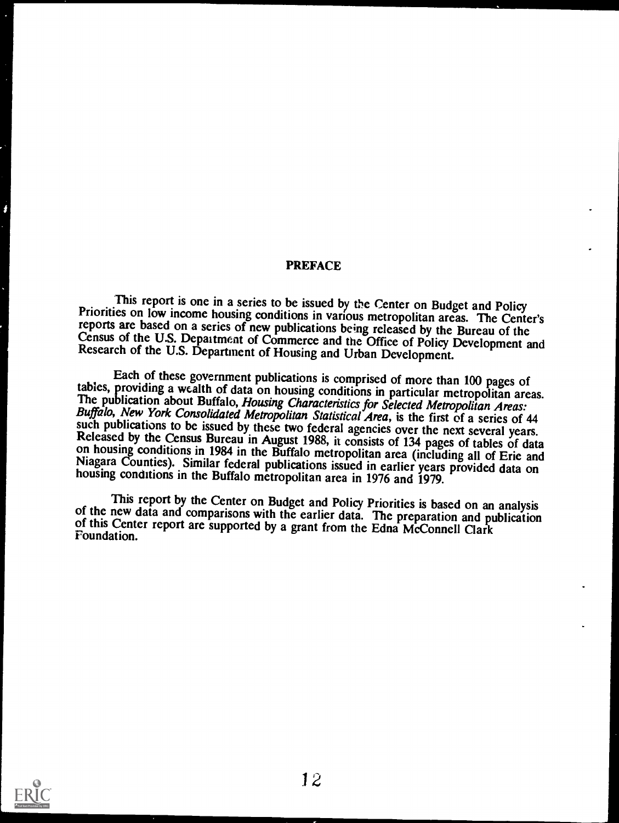#### PREFACE

This report is one in a series to be issued by the Center on Budget and Policy<br>Priorities on low income housing conditions in various metropolitan areas. The Center's<br>reports are based on a series of new publications being

Each of these government publications is comprised of more than 100 pages of<br>tables, providing a wealth of data on housing conditions in particular metropolitan areas.<br>The publication about Buffalo, *Housing Characteristic* 

This report by the Center on Budget and Policy Priorities is based on an analysis<br>of the new data and comparisons with the earlier data. The preparation and publication<br>of this Center report are supported by a grant from t

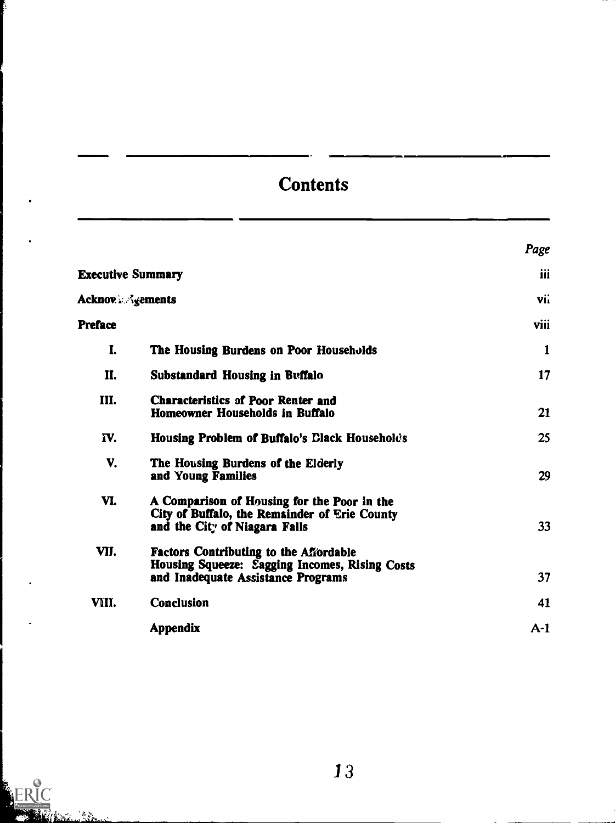## **Contents**

|                          |                                                                                                                                       | Page  |  |
|--------------------------|---------------------------------------------------------------------------------------------------------------------------------------|-------|--|
| <b>Executive Summary</b> |                                                                                                                                       | iii   |  |
| <b>Acknov</b> & Agements |                                                                                                                                       | vii   |  |
| <b>Preface</b>           |                                                                                                                                       | viii  |  |
| I.                       | The Housing Burdens on Poor Households                                                                                                | 1     |  |
| II.                      | Substandard Housing in Buffalo                                                                                                        | 17    |  |
| III.                     | <b>Characteristics of Poor Renter and</b><br>Homeowner Households in Buffalo                                                          | 21    |  |
| IV.                      | Housing Problem of Buffalo's Clack Household's                                                                                        | 25    |  |
| V.                       | The Housing Burdens of the Elderly<br>and Young Families                                                                              | 29    |  |
| VI.                      | A Comparison of Housing for the Poor in the<br>City of Buffalo, the Remainder of Erie County<br>and the City of Niagara Falls         | 33    |  |
| VII.                     | <b>Factors Contributing to the Affordable</b><br>Housing Squeeze: Sagging Incomes, Rising Costs<br>and Inadequate Assistance Programs | 37    |  |
| VIII.                    | <b>Conclusion</b>                                                                                                                     | 41    |  |
|                          | <b>Appendix</b>                                                                                                                       | $A-1$ |  |

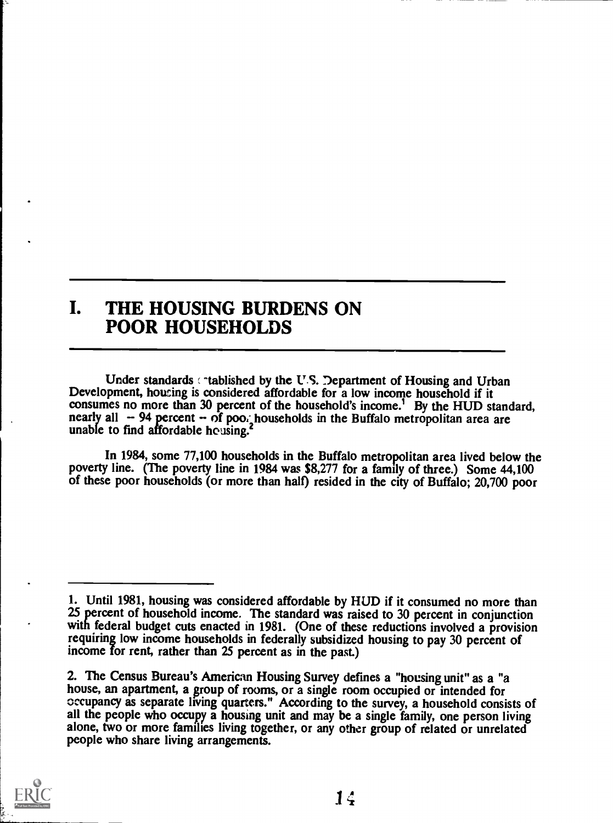### I. THE HOUSING BURDENS ON POOR HOUSEHOLDS

Under standards  $\cdot$  tablished by the U.S. Department of Housing and Urban Development, housing is considered affordable for a low income household if it consumes no more than 30 percent of the household's income.<sup>1</sup> By the HUD standard, nearly all  $-94$  percent  $-$  of poo; households in the Buffalo metropolitan area are unable to find affordable housing.<sup>2</sup>

In 1984, some 77,100 households in the Buffalo metropolitan area lived below the poverty line. (The poverty line in 1984 was \$8,277 for a family of three.) Some 44,100 of these poor households (or more than half) resided in the city of Buffalo; 20,700 poor

<sup>2.</sup> The Census Bureau's American Housing Survey defines a "housing unit" as a "a house, an apartment, a group of rooms, or a single room occupied or intended for occupancy as separate living quarters." According to the survey, a household consists of all the people who occupy a housing unit and may be a single family, one person living alone, two or more families living together, or any other group of related or unrelated people who share living arrangements.



<sup>1.</sup> Until 1981, housing was considered affordable by HUD if it consumed no more than 25 percent of household income. The standard was raised to 30 percent in conjunction with federal budget cuts enacted in 1981. (One of these reductions involved a provision requiring low income households in federally subsidized housing to pay 30 percent of income for rent, rather than 25 percent as in the past.)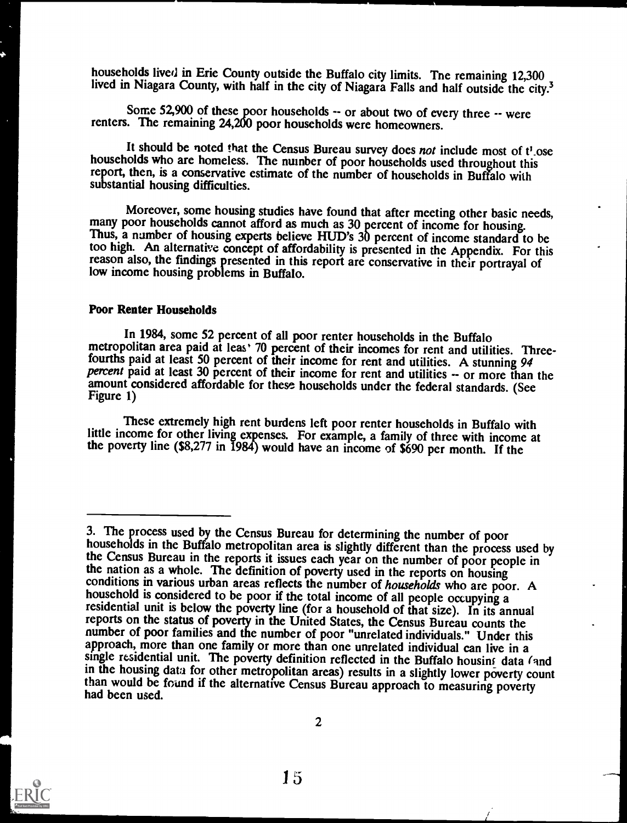households lived in Erie County outside the Buffalo city limits. Tne remaining 12,300 lived in Niagara County, with half in the city of Niagara Falls and half outside the city.<sup>3</sup>

Some 52,900 of these poor households -- or about two of every three -- were renters. The remaining 24,200 poor households were homeowners.

It should be noted that the Census Bureau survey does not include most of t'ose households who are homeless. The number of poor households used throughout this report, then, is a conservative estimate of the number of households in Buffalo with substantial housing difficulties.

Moreover, some housing studies have found that after meeting other basic needs, many poor households cannot afford as much as 30 percent of income for housing.<br>Thus, a number of housing experts believe HUD's 30 percent of too high. An alternative concept of affordability is presented in the Appendix. For this reason also, the findings presented in this report are conservative in their portrayal of low income housing problems in Buffalo.

#### Poor Renter Households

In 1984, some 52 percent of all poor renter households in the Buffalo metropolitan area paid at leas 70 percent of their incomes for rent and utilities. Threefourths paid at least 50 percent of their income for rent and utilities. A stunning 94 percent paid at least 30 percent of their income for rent and utilities -- or more than the amount considered affordable for these households under the federal standards. (See Figure 1)

These extremely high rent burdens left poor renter households in Buffalo with little income for other living expenses. For example, a family of three with income at the poverty line (\$8,277 in 1984) would have an income of \$690 per month. If the



<sup>3.</sup> The process used by the Census Bureau for determining the number of poor households in the Buffalo metropolitan area is slightly different than the process used by the Census Bureau in the reports it issues each year on the number of poor people in the nation as a whole. The definition of poverty used in the reports on housing conditions in various urban areas reflects the number of households who are poor. A household is considered to be poor if the total income of all people occupying a residential unit is below the poverty line (for a household of that size). In its annual reports on the status of poverty in the United States, the Census Bureau counts the number of poor families and the number of poor "unrelated individuals." Under this approach, more than one family or more than one unrelat single residential unit. The poverty definition reflected in the Buffalo housing data (and<br>in the housing data for other metropolitan areas) results in a slightly lower poverty count than would be found if the alternative Census Bureau approach to measuring poverty had been used.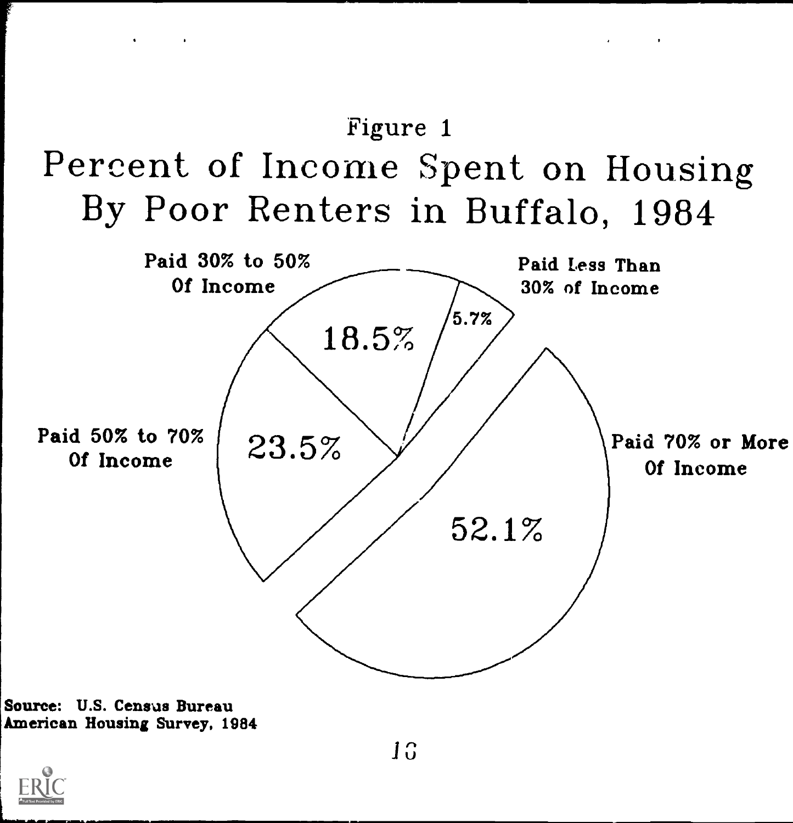

and the control of the con-



Source: U.S. Census Bureau American Housing Survey, 1984

 $\mathbf{r} = \left\{ \begin{array}{ll} 0 & \mathbf{r} \in \mathbb{R}^n, \ \mathbf{r} \in \mathbb{R}^n, \ \mathbf{r} \in \mathbb{R}^n, \ \mathbf{r} \in \mathbb{R}^n, \ \mathbf{r} \in \mathbb{R}^n, \ \mathbf{r} \in \mathbb{R}^n, \ \mathbf{r} \in \mathbb{R}^n, \ \mathbf{r} \in \mathbb{R}^n, \ \mathbf{r} \in \mathbb{R}^n, \ \mathbf{r} \in \mathbb{R}^n, \ \mathbf{r} \in \mathbb{R}^n, \ \$ 

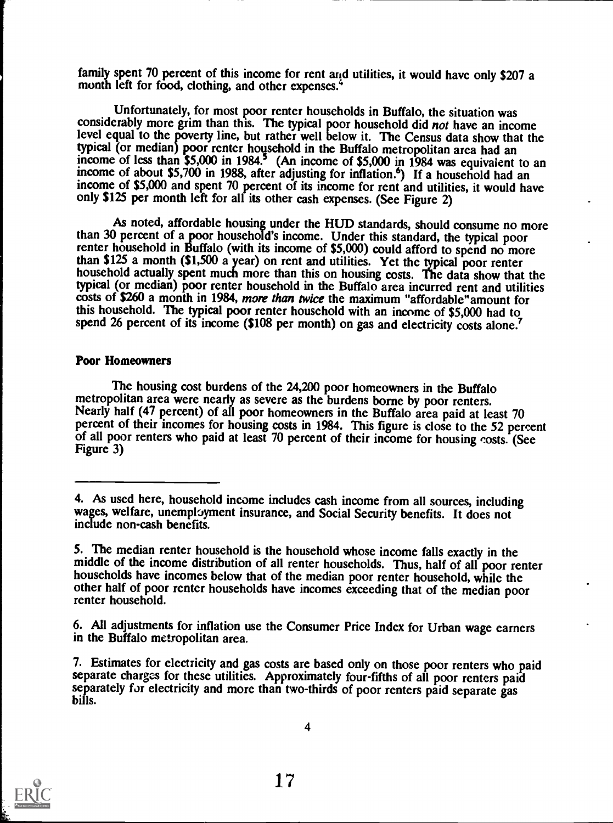family spent 70 percent of this income for rent and utilities, it would have only \$207 a month left for food, clothing, and other expenses.<sup>4</sup>

Unfortunately, for most poor renter households in Buffalo, the situation was considerably more grim than this. The typical poor household did not have an income level equal to the poverty line, but rather well below it. The Census data show that the typical (or median) poor renter household in the Buffalo metropolitan area had an income of less than  $$5,000$  in  $1984.5$  (An income of  $$5,000$  in  $1984$  was equivalent to an income of about \$5,700 in 1988, after adjusting for inflation.<sup>6</sup>) If a household had an income of \$5,000 and spent 70 percent of its income for rent and utilities, it would have only \$125 per month left for all its other cash expenses. (See Figure 2)

As noted, affordable housing under the HUD standards, should consume no more than 30 percent of a poor household's income. Under this standard, the typical poor renter household in Buffalo (with its income of \$5,000) could afford to spend no more than \$125 a month (\$1,500 a year) on rent and utilities. Yet the typical poor renter household actually spent much more than this on housing costs. The data show that the typical (or median) poor renter household in the Buffalo area incurred rent and utilities costs of \$260 a month in 1984, more than twice the maximum "affordable" amount for this household. The typical poor renter household with an income of \$5,000 had to spend 26 percent of its income (\$108 per month) on gas and electricity costs alone.<sup>7</sup>

#### Poor Homeowners

The housing cost burdens of the 24,200 poor homeowners in the Buffalo metropolitan area were nearly as severe as the burdens borne by poor renters. Nearly half (47 percent) of all poor homeowners in the Buffalo area paid at least 70 percent of their incomes for housing costs in 1984. This figure is close to the 52 percent of all poor renters who paid at least 70 percent of their income for housing costs. (See Figure 3)



<sup>4.</sup> As used here, household income includes cash income from all sources, including wages, welfare, unempbyment insurance, and Social Security benefits. It does not include non-cash benefits.

<sup>5.</sup> The median renter household is the household whose income falls exactly in the middle of the income distribution of all renter households. Thus, half of all poor renter households have incomes below that of the median p renter household.

<sup>6.</sup> All adjustments for inflation use the Consumer Price Index for Urban wage earners in the Buffalo metropolitan area.

<sup>7.</sup> Estimates for electricity and gas costs are based only on those poor renters who paid separate charges for these utilities. Approximately four-fifths of all poor renters paid separately for electricity and more than two-thirds of poor renters paid separate gas bills.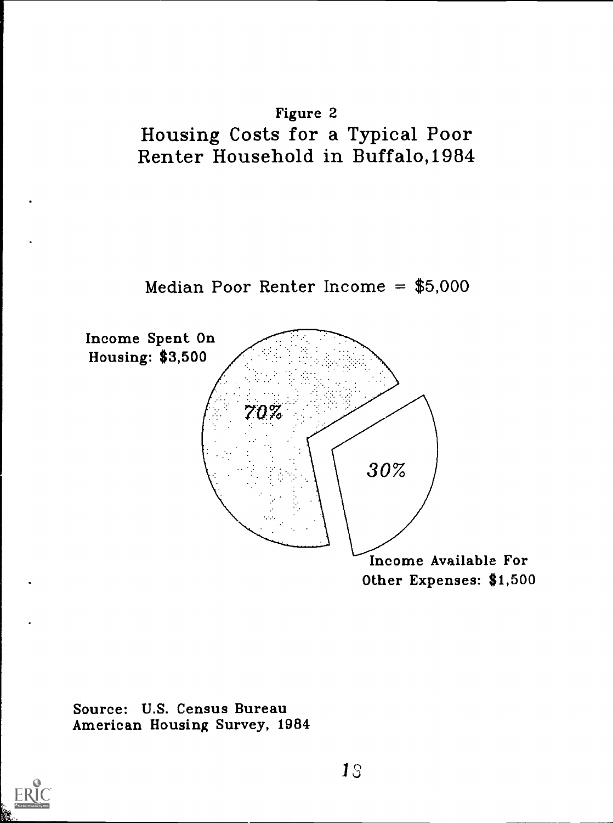





Source: U.S. Census Bureau American Housing Survey, 1984

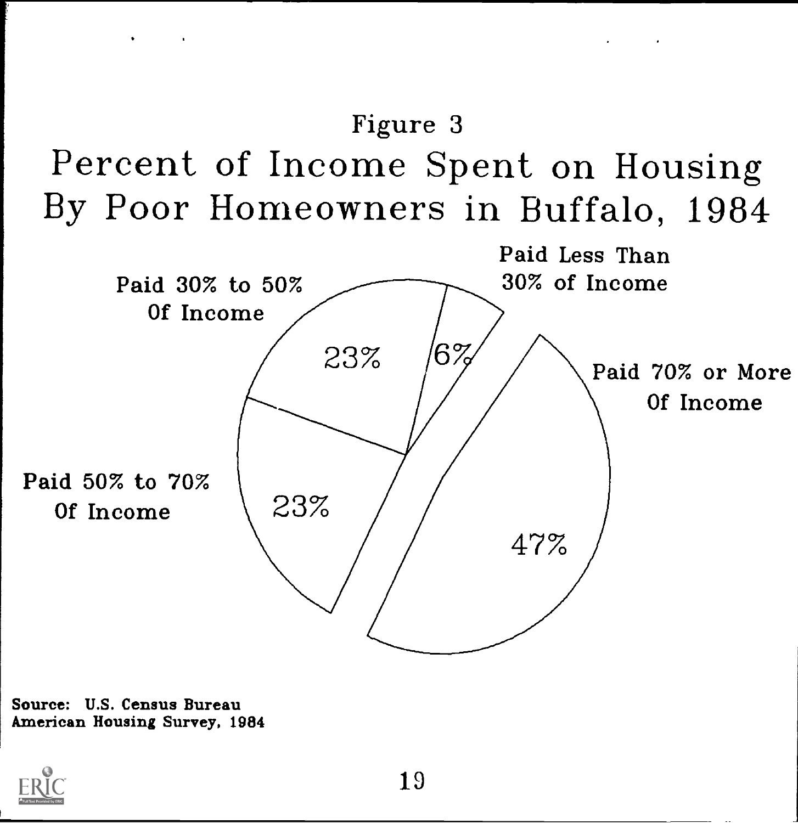



Source: U.S. Census Bureau American Housing Survey, 1984

 $\bullet$  . The second contract  $\mathcal{L}^{\text{max}}$ 

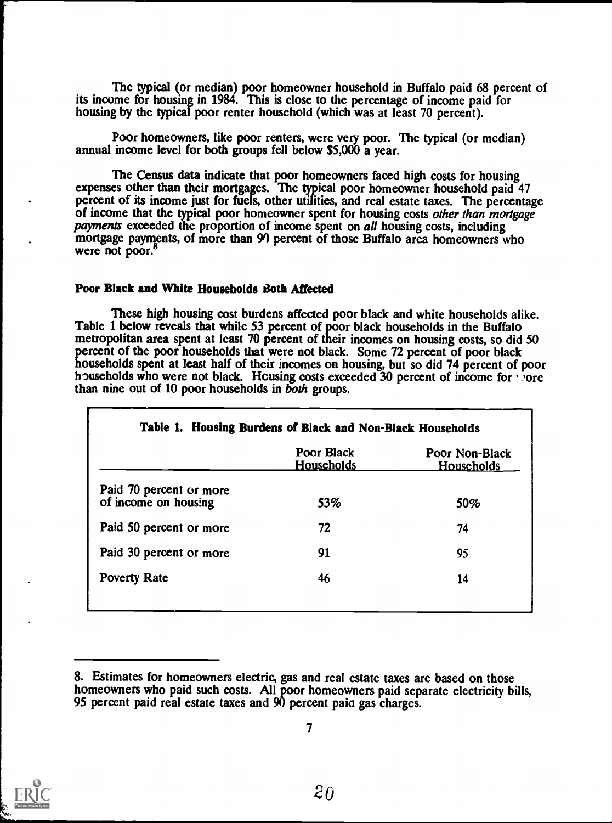The typical (or median) poor homeowner household in Buffalo paid 68 percent of its income for housing in 1984. This is close to the percentage of income paid for housing by the typical poor renter household (which was at least 70 percent).

Poor homeowners, like poor renters, were very poor. The typical (or median) annual income level for both groups fell below \$5,000 a year.

The Census data indicate that poor homeowners faced high costs for housing expenses other than their mortgages. The typical poor homeowner household paid 47 percent of its income just for fuels, other utilities, and real estate taxes. The percentage of income that the typical poor homeowner spent for housing costs other than mortgage payments exceeded the proportion of income spent on all housing costs, including mortgage payments, of more than 99 percent of those Buffalo area homeowners who were not poor.<sup>8</sup>

### Poor Black and White Households Both Affected

These high housing cost burdens affected poor black and white households alike. Table 1 below reveals that while 53 percent of poor black households in the Buffalo metropolitan area spent at least 70 percent of their incomes on housing costs, so did 50 percent of the poor households that were not black. Some 72 percent of poor black households spent at least half of their incomes on housing, but so did 74 percent of poor households who were not black. Housing costs exceeded  $30$  percent of income for  $\cdot$  ore than nine out of 10 poor households in both groups.

|                                                 | Poor Black<br><u>Households</u> | Poor Non-Black<br><b>Households</b> |
|-------------------------------------------------|---------------------------------|-------------------------------------|
| Paid 70 percent or more<br>of income on housing | 53%                             | 50%                                 |
| Paid 50 percent or more                         | 72                              | 74                                  |
| Paid 30 percent or more                         | 91                              | 95                                  |
| <b>Poverty Rate</b>                             | 46                              | 14                                  |



<sup>8.</sup> Estimates for homeowners electric, gas and real estate taxes are based on those homeowners who paid such costs. All poor homeowners paid separate electricity bills, 95 percent paid real estate taxes and 90 percent paid gas charges.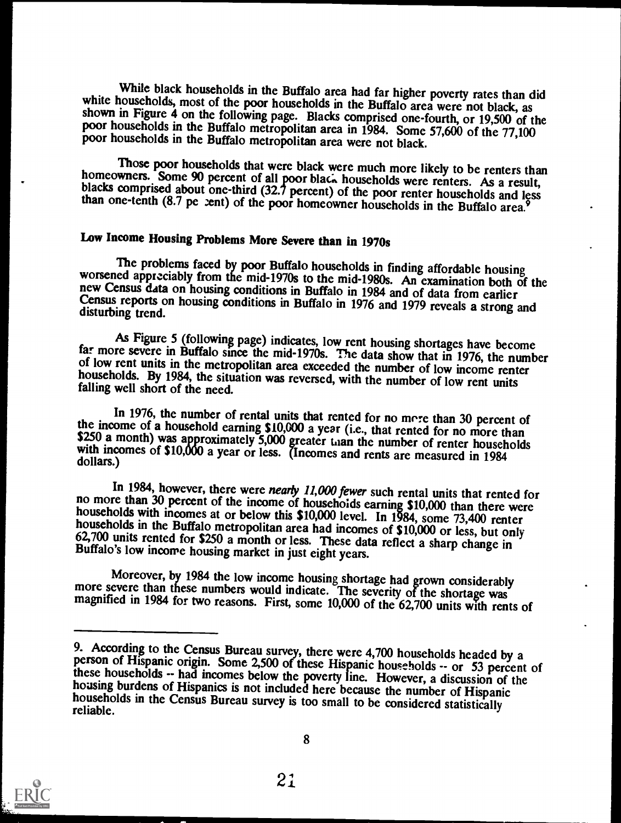While black households in the Buffalo area had far higher poverty rates than did<br>white households, most of the poor households in the Buffalo area were not black, as<br>shown in Figure 4 on the following page. Blacks comprise

Those poor households that were black were much more likely to be renters than<br>homeowners. Some 90 percent of all poor black households were renters. As a result,<br>blacks comprised about one-third (32.7 percent) of the poor

### Low Income Housing Problems More Severe than in 1970s

The problems faced by poor Buffalo households in finding affordable housing<br>worsened appreciably from the mid-1970s to the mid-1980s. An examination both of the<br>new Census data on housing conditions in Buffalo in 1984 and

As Figure 5 (following page) indicates, low rent housing shortages have become far more severe in Buffalo since the mid-1970s. The data show that in 1976, the number of low rent units in the metropolitan area exceeded the

In 1976, the number of rental units that rented for no more than 30 percent of<br>the income of a household earning \$10,000 a year (i.e., that rented for no more than<br>\$250 a month) was approximately 5,000 greater than the num

In 1984, however, there were *nearly 11,000 fewer* such rental units that rented for<br>no more than 30 percent of the income of househoids earning \$10,000 than there were<br>households with incomes at or below this \$10,000 lev

Moreover, by 1984 the low income housing shortage had grown considerably<br>more severe than these numbers would indicate. The severity of the shortage was<br>magnified in 1984 for two reasons. First, some 10,000 of the 62,700 u



<sup>9.</sup> According to the Census Bureau survey, there were  $4,700$  households headed by a person of Hispanic origin. Some 2,500 of these Hispanic households  $-$  or 53 percent of these households  $-$  had incomes below the povert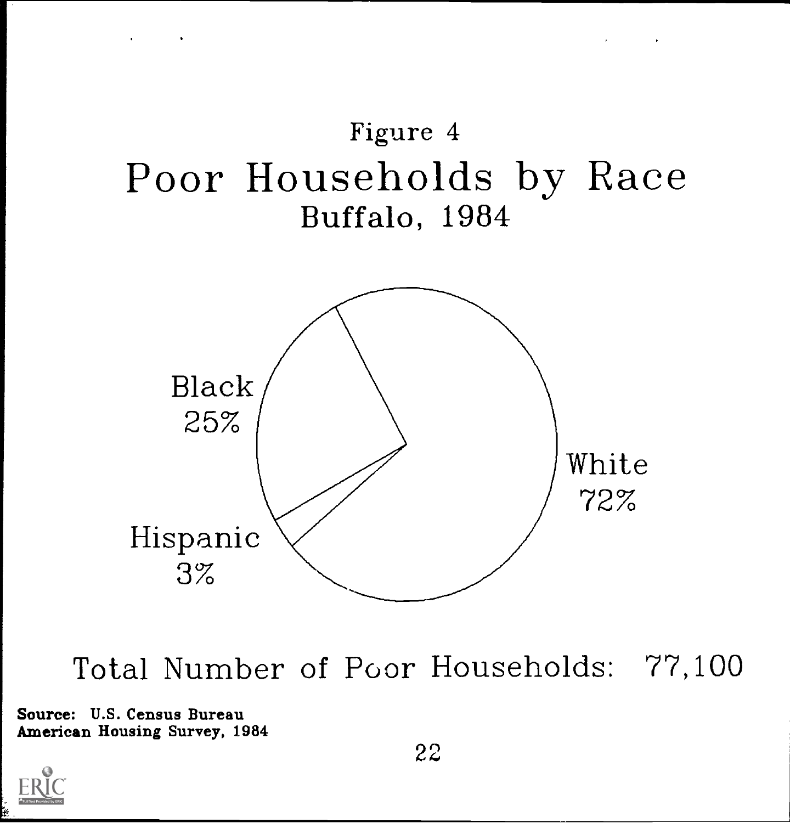

 $\mathcal{L}^{\mathcal{L}}(\mathcal{L}^{\mathcal{L}}(\mathcal{L}^{\mathcal{L}}(\mathcal{L}^{\mathcal{L}}(\mathcal{L}^{\mathcal{L}}(\mathcal{L}^{\mathcal{L}}(\mathcal{L}^{\mathcal{L}}(\mathcal{L}^{\mathcal{L}}(\mathcal{L}^{\mathcal{L}}(\mathcal{L}^{\mathcal{L}}(\mathcal{L}^{\mathcal{L}}(\mathcal{L}^{\mathcal{L}}(\mathcal{L}^{\mathcal{L}}(\mathcal{L}^{\mathcal{L}}(\mathcal{L}^{\mathcal{L}}(\mathcal{L}^{\mathcal{L}}(\mathcal{L}^{\mathcal{L$ 

Total Number of Poor Households: 77,100

Source: U.S. Census Bureau American Housing Survey, 1984

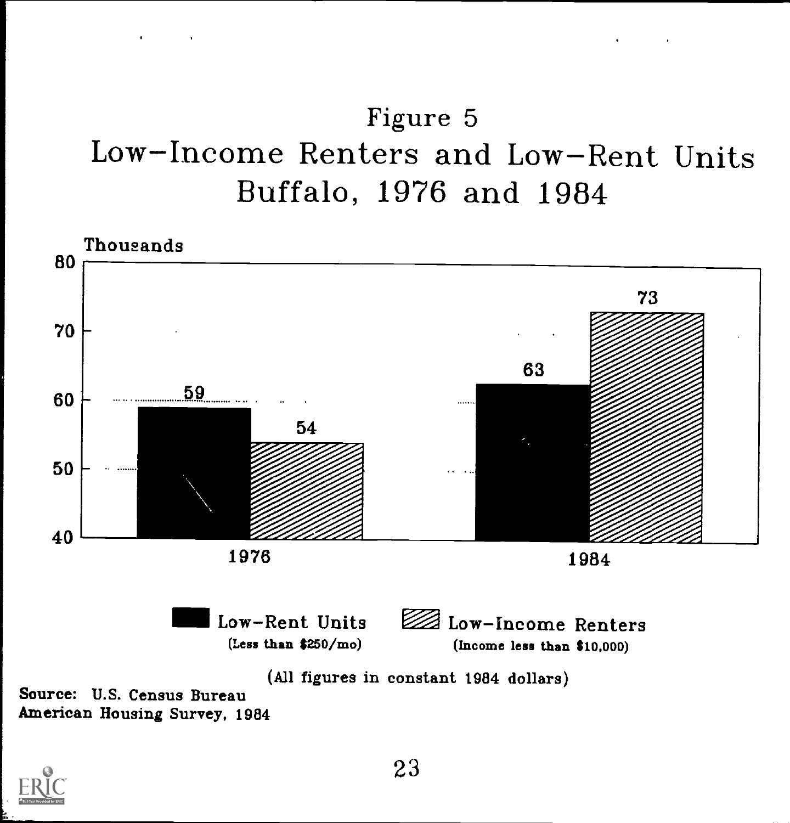# Figure 5 Low Income Renters and Low-Rent Units Buffalo, 1976 and 1984



American Housing Survey, 1984

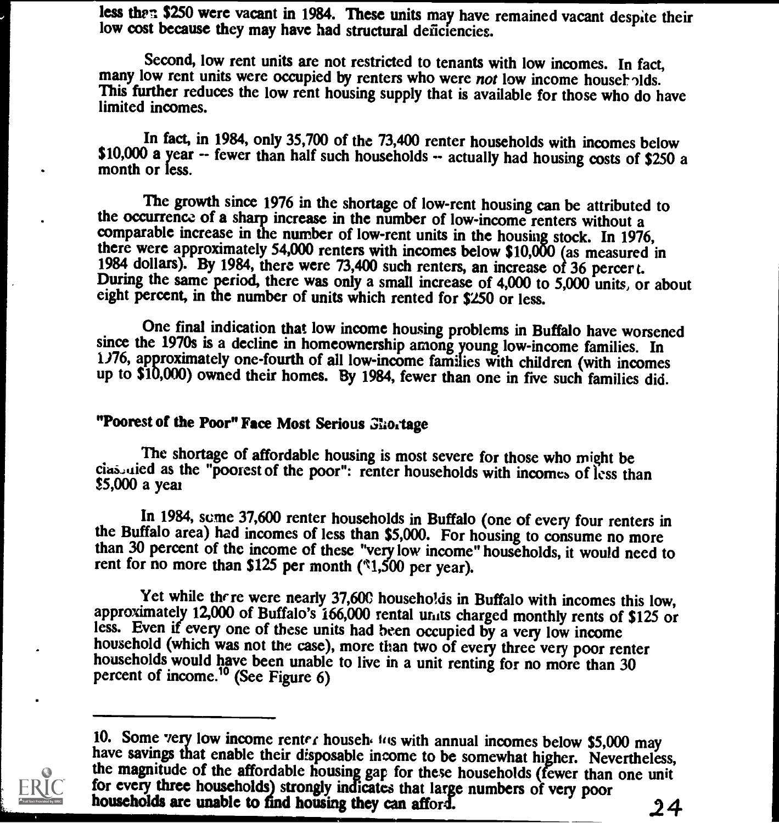less then \$250 were vacant in 1984. These units may have remained vacant despite their low cost because they may have had structural deficiencies.

Second, low rent units are not restricted to tenants with low incomes. In fact, many low rent units were occupied by renters who were *not* low income households. This further reduces the low rent housing supply that is av limited incomes.

In fact, in 1984, only 35,700 of the 73,400 renter households with incomes below \$10,000 a year -- fewer than half such households -- actually had housing costs of \$250 a month or less.

The growth since 1976 in the shortage of low-rent housing can be attributed to the occurrence of a sharp increase in the number of low-income renters without a comparable increase in the number of low-rent units in the housing stock. In 1976, there were approximately 54,000 renters with incomes below \$10,000 (as measured in 1984 dollars). By 1984, there were 73,400 such renters, an increase of 36 percert. During the same period, there was only a small increase of 4,000 to 5,000 units, or about eight percent, in the number of units which rented for \$250 or less.

One final indication that low income housing problems in Buffalo have worsened since the 1970s is a decline in homeownership among young low-income families. In 1976, approximately one-fourth of all low-income families with children (with incomes up to \$10,000) owned their homes. By 1984, fewer than one in five such families did.

### "Poorest of the Poor" Face Most Serious Ghortage

The shortage of affordable housing is most severe for those who might be cias uied as the "poorest of the poor": renter households with incomes of less than \$5,000 a year

In 1984, some 37,600 renter households in Buffalo (one of every four renters in the Buffalo area) had incomes of less than \$5,000. For housing to consume no more than 30 percent of the income of these "very low income" households, it would need to rent for no more than \$125 per month ( $\textdegree$ 1,500 per year).

Yet while there were nearly 37,600 households in Buffalo with incomes this low, approximately 12,000 of Buffalo's 166,000 rental units charged monthly rents of \$125 or less. Even if every one of these units had been occupi household (which was not the case), more than two of every three very poor renter households would have been unable to live in a unit renting for no more than 30 percent of income.<sup>10</sup> (See Figure 6)



<sup>10.</sup> Some very low income renter househ to with annual incomes below \$5,000 may<br>have savings that enable their disposable income to be somewhat higher. Nevertheless,<br>the magnitude of the affordable housing gap for these ho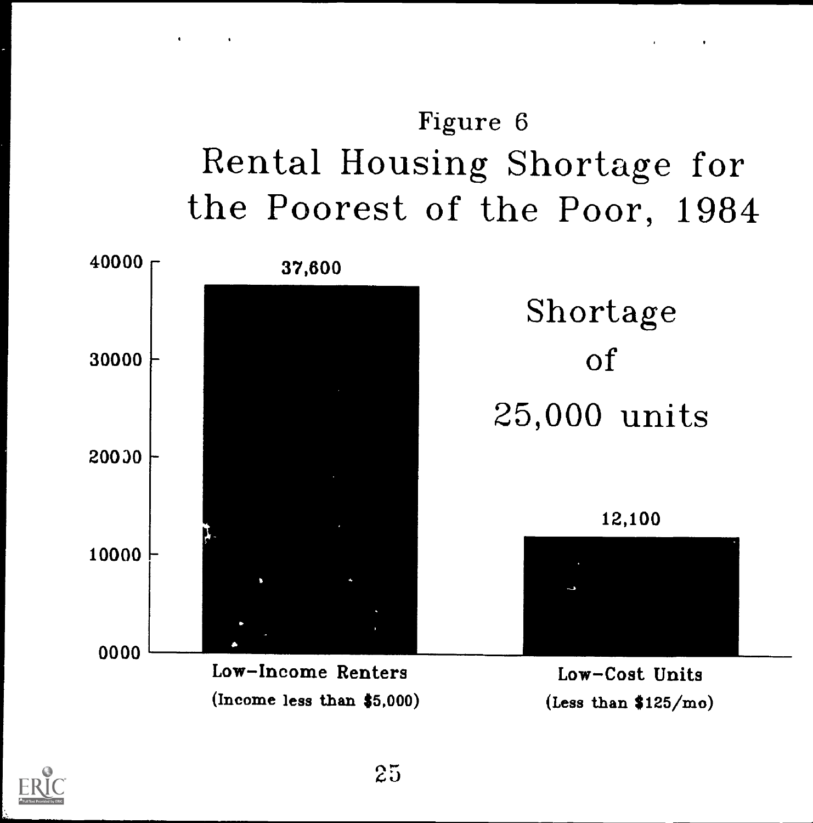# Figure 6 Rental Housing Shortage for the Poorest of the Poor, 1984

 $\mathbf{C}^{\text{max}}$  and  $\mathbf{C}^{\text{max}}$ 

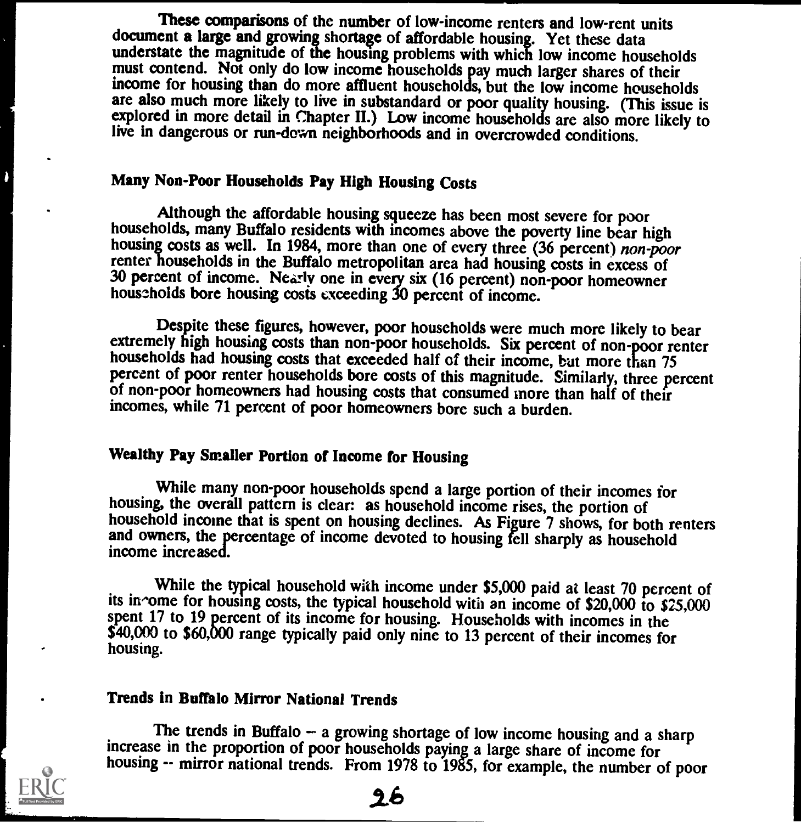These comparisons of the number of low-income renters and low-rent units document a large and growing shortage of affordable housing. Yet these data understate the magnitude of the housing problems with which low income households must contend. Not only do low income households pay much larger shares of their income for housing than do more affluent households, but the low income households are also much more likely to live in substandard or poor quality housing. (This issue is explored in more detail in Chapter II.) Low income households are also more likely to live in dangerous or run-down neighborhoods and in overcrowded conditions.

### Many Non-Poor Households Pay High Housing Costs

Although the affordable housing squeeze has been most severe for poor<br>households, many Buffalo residents with incomes above the poverty line bear high<br>housing costs as well. In 1984, more than one of every three (36 percen 30 percent of income. Nearly one in every six (16 percent) non-poor homeowner households bore housing costs exceeding 30 percent of income.

Despite these figures, however, poor households were much more likely to bear<br>extremely high housing costs than non-poor households. Six percent of non-poor renter<br>households had housing costs that exceeded half of their i of non-poor homeowners had housing costs that consumed more than half of their incomes, while 71 percent of poor homeowners bore such a burden.

### Wealthy Pay Smaller Portion of Income for Housing

While many non-poor households spend a large portion of their incomes for housing, the overall pattern is clear: as household income rises, the portion of household income that is spent on housing declines. As Figure 7 shows, for both renters and owners, the percentage of income devoted to housing fell sharply as household income increased.

While the typical household with income under \$5,000 paid at least 70 percent of its in ome for housing costs, the typical household with an income of \$20,000 to \$25,000 spent 17 to 19 percent of its income for housing. Households with incomes in the \$40,000 to \$60,000 range typically paid only nine to 13 percent of their incomes for housing.

### Trends in Buffalo Mirror National Trends

The trends in Buffalo -- a growing shortage of low income housing and a sharp increase in the proportion of poor households paying a large share of income for housing -- mirror national trends. From 1978 to 1985, for example, the number of poor

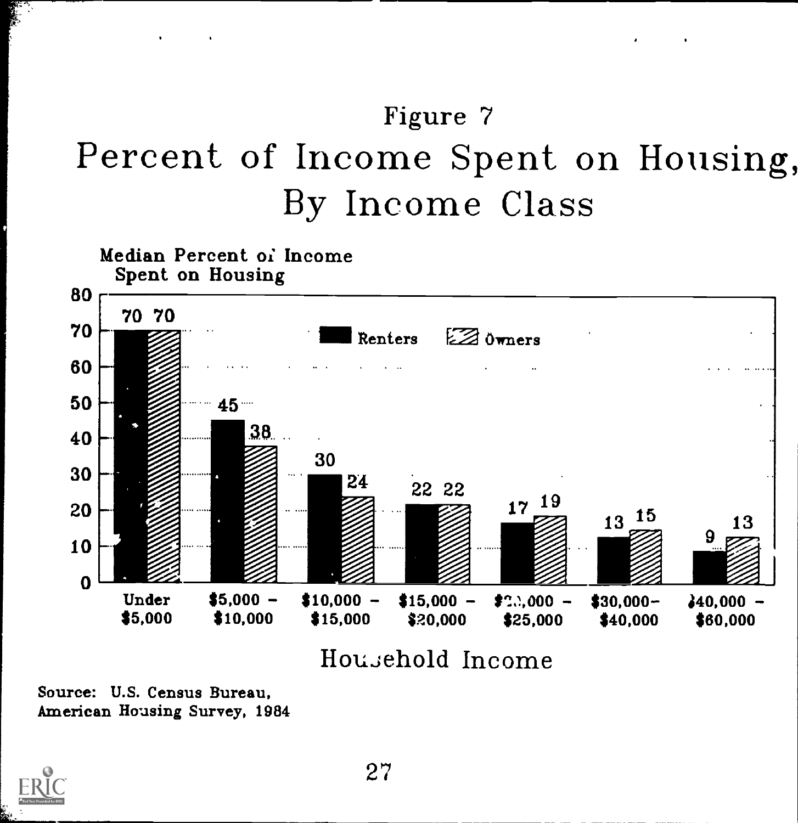# Figure 7 Percent of Income Spent on Housing, By Income Class



Source: U.S. Census Bureau, American Housing Survey, 1984

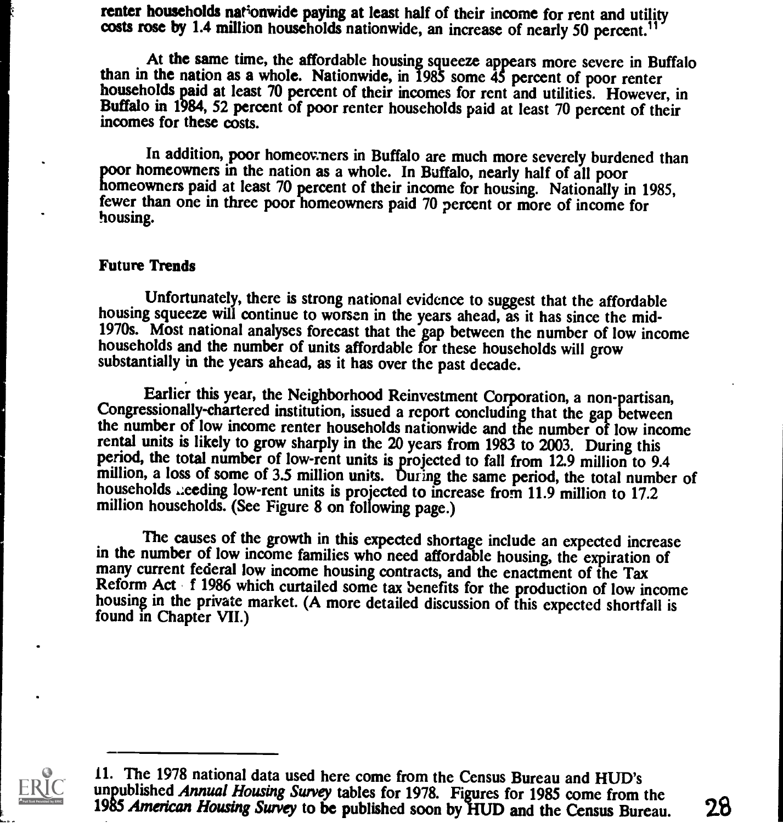renter households nationwide paying at least half of their income for rent and utility costs rose by 1.4 million households nationwide, an increase of nearly 50 percent.<sup>11</sup>

At the same time, the affordable housing squeeze appears more severe in Buffalo than in the nation as a whole. Nationwide, in 1985 some 45 percent of poor renter households paid at least 70 percent of their incomes for rent and utilities. However, in Buffalo in 1984, 52 percent of poor renter households paid at least 70 percent of their incomes for these costs.

In addition, poor homeoveners in Buffalo are much more severely burdened than<br>poor homeowners in the nation as a whole. In Buffalo, nearly half of all poor<br>homeowners paid at least 70 percent of their income for housing. N housing.

#### Future Trends

Unfortunately, there is strong national evidence to suggest that the affordable<br>housing squeeze will continue to worsen in the years ahead, as it has since the mid-<br>1970s. Most national analyses forecast that the gap betwe substantially in the years ahead, as it has over the past decade.

Earlier this year, the Neighborhood Reinvestment Corporation, a non-partisan, Congressionally-chartered institution, issued a report concluding that the gap between the number of low income renter households nationwide and the number of low income rental units is likely to grow sharply in the 20 years from 1983 to 2003. During this period, the total number of low-rent units is projected to fall from 12.9 million to 9.4 million, a loss of some of 3.5 million units. During the same period, the total number of households ...eeding low-rent units is projected to increase from 11.9 million to 17.2 million households. (See Figure 8 on following page.)

The causes of the growth in this expected shortage include an expected increase in the number of low income families who need affordable housing, the expiration of many current federal low income housing contracts, and the enactment of the Tax<br>Reform Act f 1986 which curtailed some tax benefits for the production of low income<br>housing in the private market. (A more detailed discussio found in Chapter VII.)



<sup>11.</sup> The 1978 national data used here come from the Census Bureau and HUD's unpublished Annual Housing Survey tables for 1978. Figures for 1985 come from the<br>1985 American Housing Survey to be published soon by HUD and the Census Bureau 28 1985 American Housing Survey to be published soon by HUD and the Census Bureau.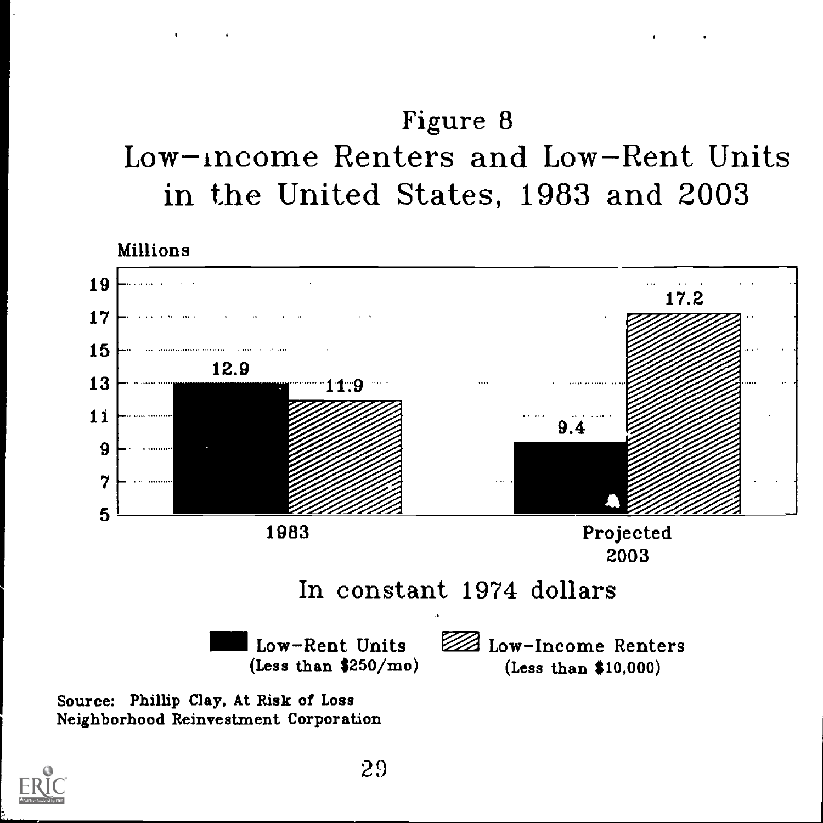## Figure 8 Low-income Renters and Low-Rent Units in the United States, 1983 and 2003

Millions



Neighborhood Reinvestment Corporation

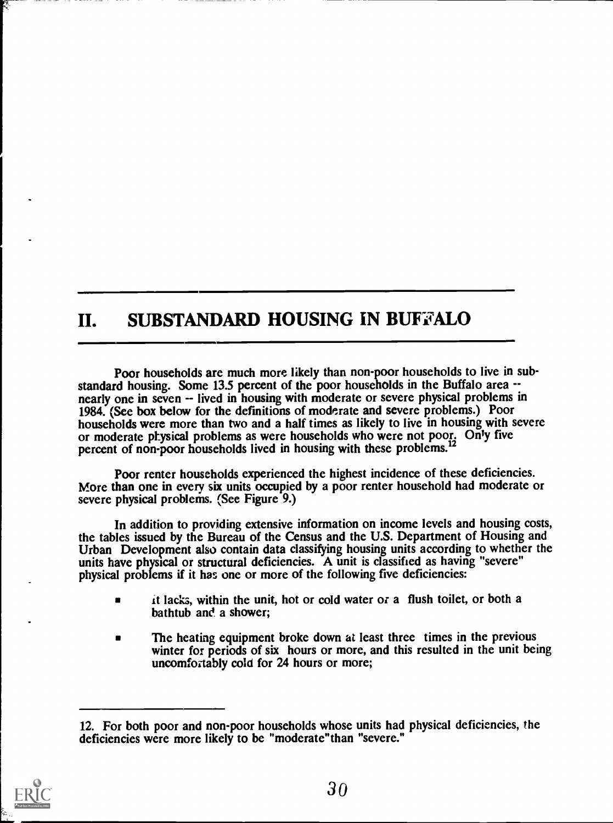### II. SUBSTANDARD HOUSING IN BUFFALO

Poor households are much more likely than non-poor households to live in substandard housing. Some 13.5 percent of the poor households in the Buffalo area -nearly one in seven -- lived in housing with moderate or severe physical problems in 1984. (See box below for the definitions of moderate and severe problems.) Poor households were more than two and a half times as likely to live in housing with severe or moderate physical problems as were households who were not poor. Only five percent of non-poor households lived in housing with these problems.<sup>12</sup>

Poor renter households experienced the highest incidence of these deficiencies. More than one in every six units occupied by a poor renter household had moderate or severe physical problems. (See Figure 9.)

In addition to providing extensive information on income levels and housing costs, the tables issued by the Bureau of the Census and the U.S. Department of Housing and Urban Development also contain data classifying housing units according to whether the units have physical or structural deficiencies. A unit is classified as having "severe" physical problems if it has one or more of the following five deficiencies:

- it lacks, within the unit, hot or cold water or a flush toilet, or both a bathtub and a shower;
- The heating equipment broke down at least three times in the previous  $\blacksquare$ winter for periods of six hours or more, and this resulted in the unit being uncomfortably cold for 24 hours or more;

<sup>12.</sup> For both poor and non-poor households whose units had physical deficiencies, the deficiencies were more likely to be "moderate"than "severe."

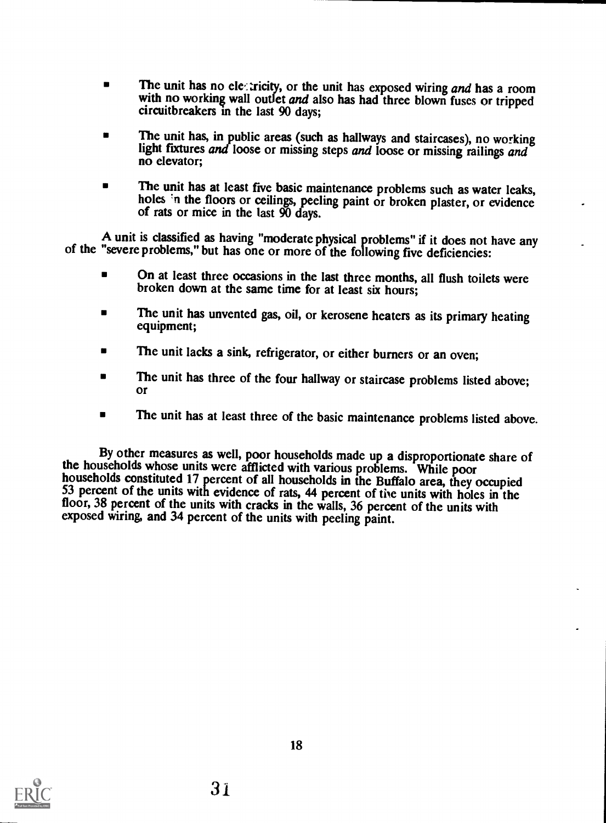- The unit has no electricity, or the unit has exposed wiring and has a room with no working wall outlet and also has had three blown fuses or tripped circuitbreakers in the last 90 days;
- The unit has, in public areas (such as hallways and staircases), no working light fixtures and loose or missing steps and loose or missing railings and no elevator;
- The unit has at least five basic maintenance problems such as water leaks, holes 'n the floors or ceilings, peeling paint or broken plaster, or evidence of rats or mice in the last 90 days.

A unit is classified as having "moderate physical problems" if it does not have any of the "severe problems," but has one or more of the following five deficiencies:

- On at least three occasions in the last three months, all flush toilets were broken down at the same time for at least six hours;
- The unit has unvented gas, oil, or kerosene heaters as its primary heating equipment;
- The unit lacks a sink, refrigerator, or either burners or an oven;
- The unit has three of the four hallway or staircase problems listed above; or
- The unit has at least three of the basic maintenance problems listed above.  $\blacksquare$

By other measures as well, poor households made up a disproportionate share of the households whose units were afflicted with various problems. While poor households constituted 17 percent of all households in the Buffalo area, they occupied 53 percent of the units with evidence of rats, 44 percent of the units with holes in the floor, 38 percent of the units with cracks in the walls, 36 percent of the units with exposed wiring, and 34 percent of the units with peeling paint.

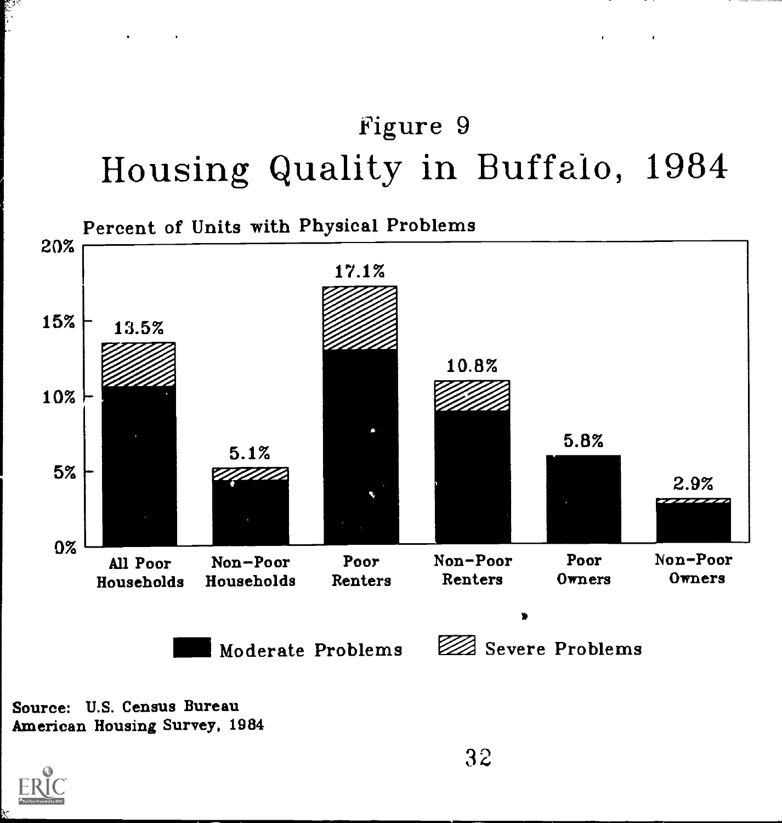# Figure 9 Housing Quality in Buffalo, 1984



Source: U.S. Census Bureau American Housing Survey, 1984

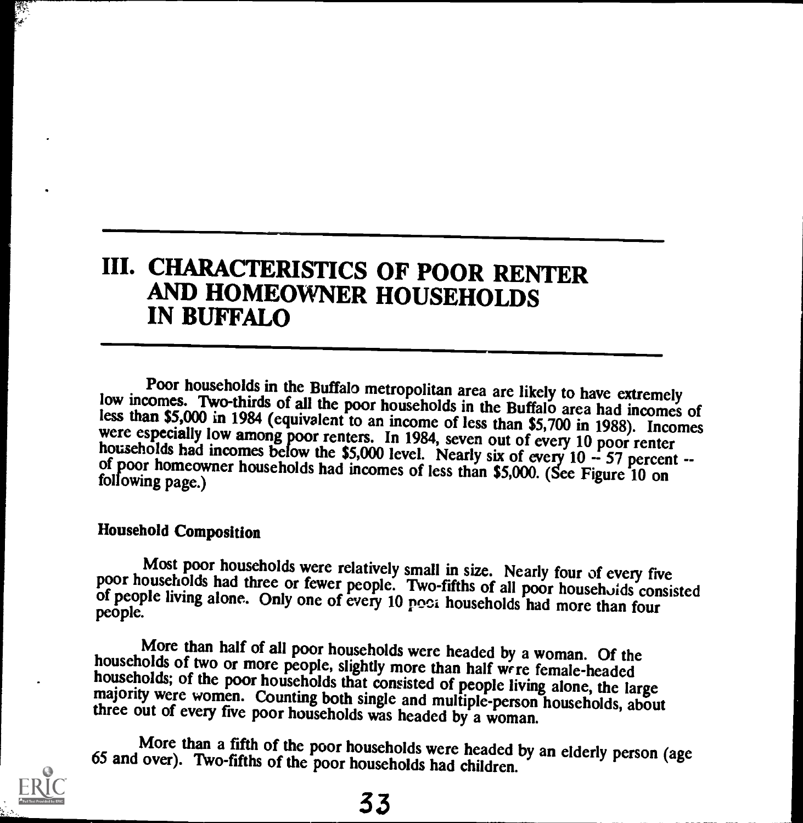### III. CHARACTERISTICS OF POOR RENTER AND HOMEOWNER HOUSEHOLDS IN BUFFALO

Poor households in the Buffalo metropolitan area are likely to have extremely<br>low incomes. Two-thirds of all the poor households in the Buffalo area had incomes of<br>less than \$5,000 in 1984 (equivalent to an income of less

### Household Composition

Most poor households were relatively small in size. Nearly four of every five<br>poor households had three or fewer people. Two-fifths of all poor househoids consisted<br>of people living alone. Only one of every 10 poor househo

More than half of all poor households were headed by a woman. Of the<br>households of two or more people, slightly more than half were female-headed<br>households; of the poor households that consisted of people living alone, th

More than a fifth of the poor households were headed by an elderly person (age 65 and over). Two-fifths of the poor households had children.

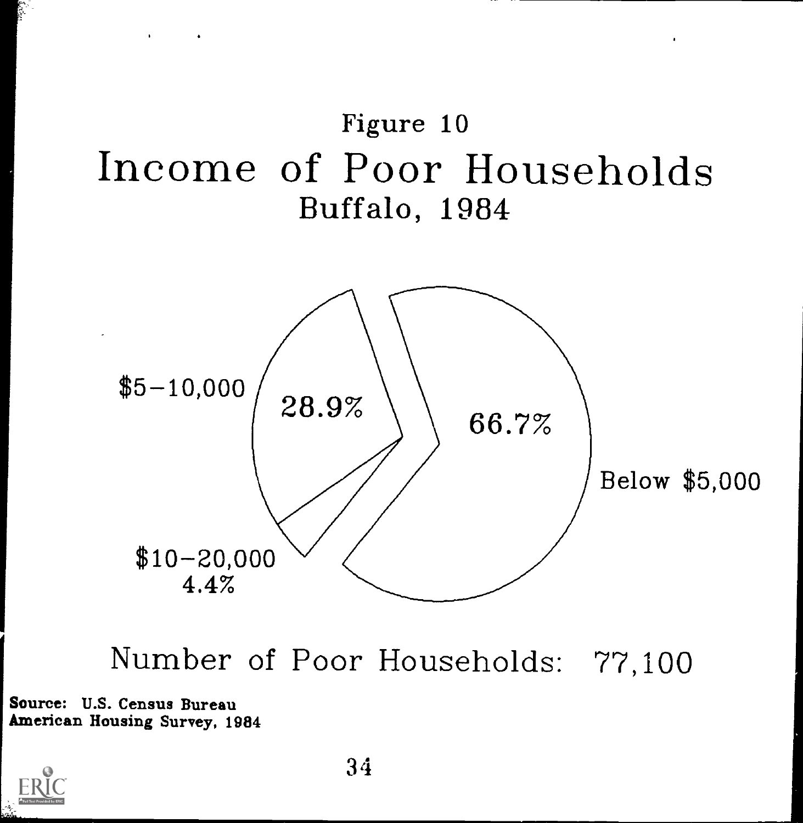



Number of Poor Households: 77,100

Source: U.S. Census Bureau American Housing Survey, 1984

 $\mathbf{r} = \mathbf{r} \times \mathbf{r}$  , where  $\mathbf{r}$ 

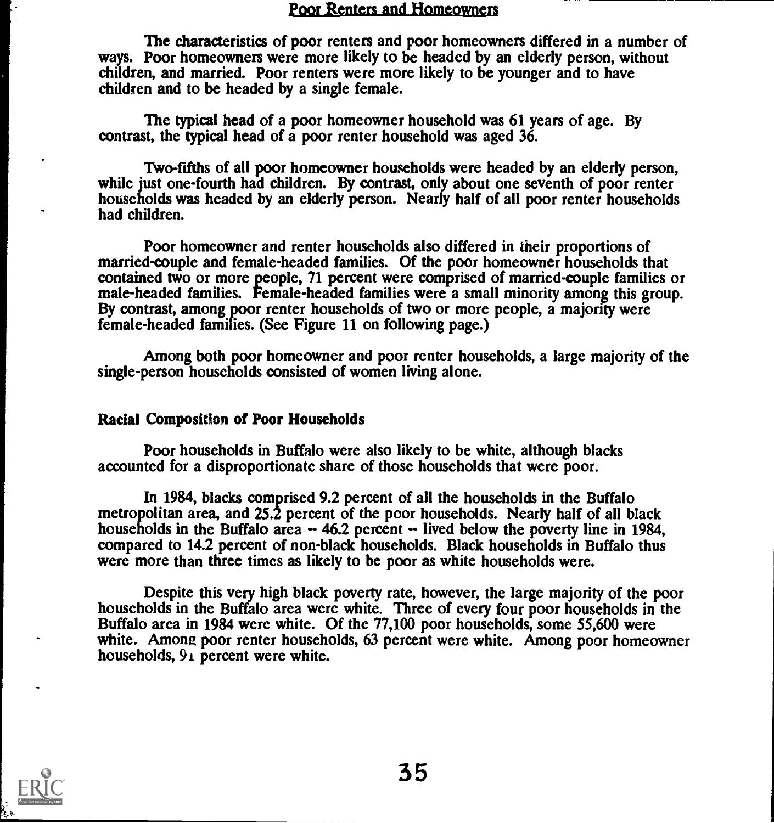### Poor Renters and Homeowners

The characteristics of poor renters and poor homeowners differed in a number of ways. Poor homeowners were more likely to be headed by an elderly person, without children, and married. Poor renters were more likely to be younger and to have children and to be headed by a single female.

The typical head of a poor homeowner household was 61 years of age. By contrast, the typical head of a poor renter household was aged 36.

Two-fifths of all poor homeowner households were headed by an elderly person, while just one-fourth had children. By contrast, only about one seventh of poor renter households was headed by an elderly person. Nearly half of all poor renter households had children.

Poor homeowner and renter households also differed in their proportions of married-couple and female-headed families. Of the poor homeowner households that contained two or more people, 71 percent were comprised of married-couple families or male-headed families. Female-headed families were a small minority among this group. By contrast, among poor renter households of two or more people, a majority were female-headed families. (See Figure 11 on following page.)

Among both poor homeowner and poor renter households, a large majority of the single-person households consisted of women living alone.

#### Racial Composition of Poor Households

Poor households in Buffalo were also likely to be white, although blacks accounted for a disproportionate share of those households that were poor.

In 1984, blacks comprised 9.2 percent of all the households in the Buffalo metropolitan area, and 25.2 percent of the poor households. Nearly half of all black households in the Buffalo area  $-$  46.2 percent  $-$  lived below the poverty line in 1984, compared to 14.2 percent of non-black households. Black households in Buffalo thus were more than three times as likely to be poor as white households were.

Despite this very high black poverty rate, however, the large majority of the poor households in the Buffalo area were white. Three of every four poor households in the Buffalo area in 1984 were white. Of the 77,100 poor households, some 55,600 were white. Among poor renter households, 63 percent were white. Among poor homeowner households,  $9<sub>1</sub>$  percent were white.

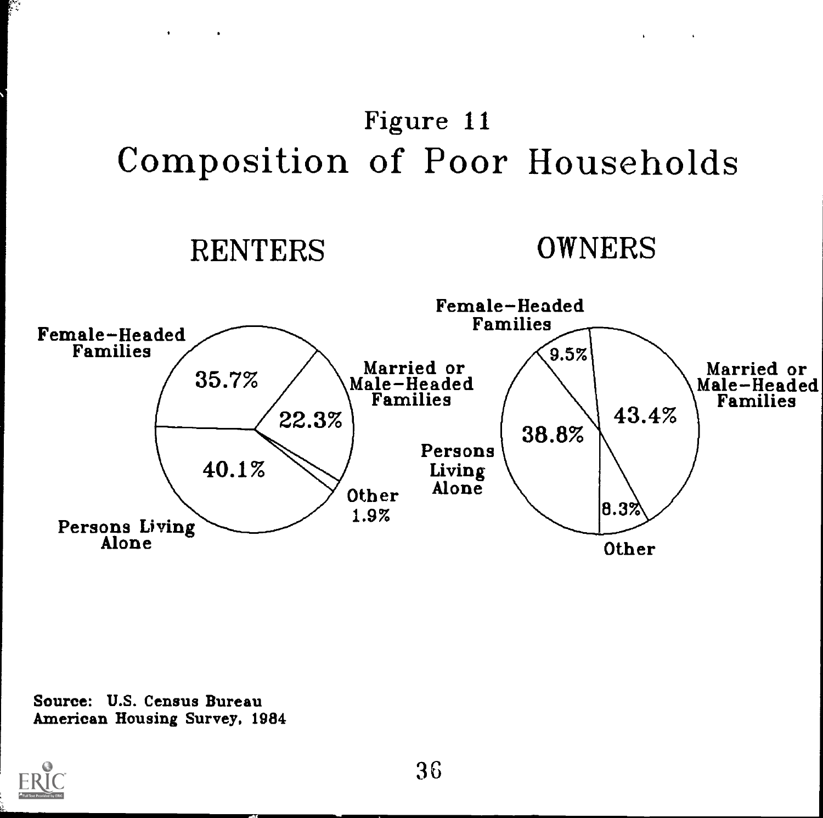# Figure 11 Composition of Poor Households

## RENTERS OWNERS

 $\mathbf{r} = \mathbf{r} \times \mathbf{r}$  . The  $\mathbf{r}$ 



Source: U.S. Census Bureau American Housing Survey, 1984



р.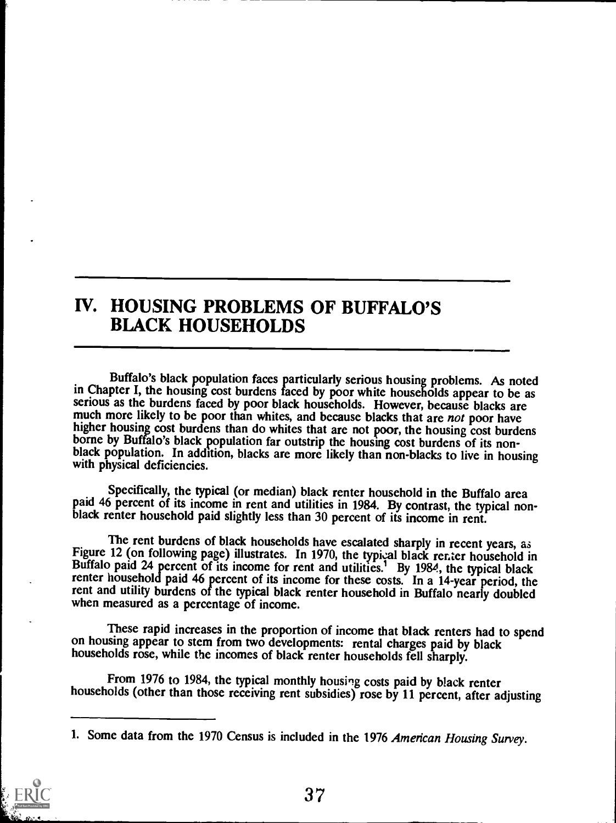### IV. HOUSING PROBLEMS OF BUFFALO'S BLACK HOUSEHOLDS

Buffalo's black population faces particularly serious housing problems. As noted in Chapter I, the housing cost burdens faced by poor white households appear to be as serious as the burdens faced by poor black households. However, because blacks are much more likely to be poor than whites, and because blacks that are not poor have higher housing cost burdens than do whites that are not poor, the housing cost burdens borne by Buffalo's black population far outstrip the housing cost burdens of its nonblack population. In addition, blacks are more likely than non-blacks to live in housing with physical deficiencies.

Specifically, the typical (or median) black renter household in the Buffalo area paid 46 percent of its income in rent and utilities in 1984. By contrast, the typical nonblack renter household paid slightly less than 30 percent of its income in rent.

The rent burdens of black households have escalated sharply in recent years, as Figure 12 (on following page) illustrates. In 1970, the typical black renter household in Buffalo paid 24 percent of its income for rent and utilities.<sup>1</sup> By 1984, the typical black renter household paid 46 percent of its income for these costs. In a 14-year period, the rent and utility burdens of the typical black renter household in Buffalo nearly doubled when measured as a percentage of income.

These rapid increases in the proportion of income that black renters had to spend on housing appear to stem from two developments: rental charges paid by black households rose, while the incomes of black renter households fell sharply.

From 1976 to 1984, the typical monthly housing costs paid by black renter households (other than those receiving rent subsidies) rose by 11 percent, after adjusting

<sup>1.</sup> Some data from the 1970 Census is included in the 1976 American Housing Survey.

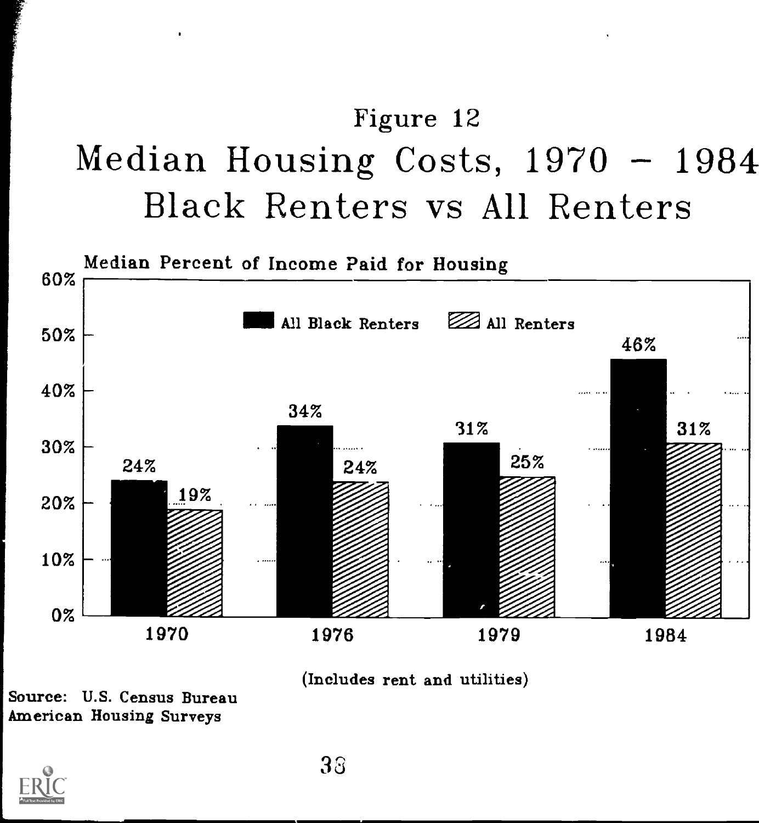# Figure 12 Median Housing Costs,  $1970 - 1984$ Black Renters vs All Renters





Source: U.S. Census Bureau American Housing Surveys

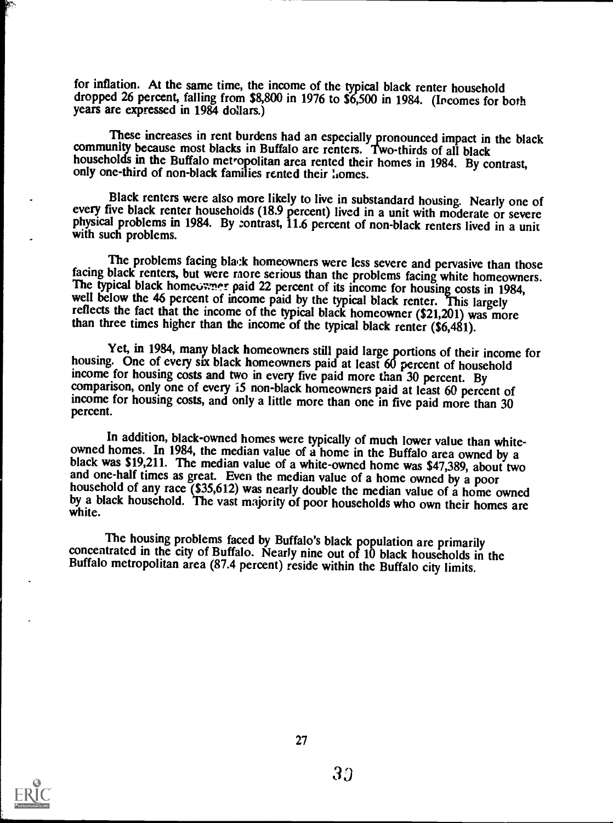for inflation. At the same time, the income of the typical black renter household dropped 26 percent, falling from \$8,800 in 1976 to \$6,500 in 1984. (Incomes for both years are expressed in 1984 dollars.)

These increases in rent burdens had an especially pronounced impact in the black community because most blacks in Buffalo are renters. Two-thirds of all black households in the Buffalo metropolitan area rented their homes in 1984. By contrast, only one-third of non-black families rented their lomes.

Black renters were also more likely to live in substandard housing. Nearly one of every five black renter households (18.9 percent) lived in a unit with moderate or severe physical problems in 1984. By contrast, 11.6 percent of non-black renters lived in a unit with such problems.

The problems facing black homeowners were less severe and pervasive than those facing black renters, but were raore serious than the problems facing white homeowners. The typical black homeowner paid 22 percent of its income for housing costs in 1984, well below the 46 percent of income paid by the typical black renter. This largely reflects the fact that the income of the typical black homeowner (\$21,201) was more than three times higher than the income of the typical black renter  $(\$6,481)$ .

Yet, in 1984, many black homeowners still paid large portions of their income for housing. One of every six black homeowners paid at least 60 percent of household income for housing costs and two in every five paid more than 30 percent. By comparison, only one of every 15 non-black homeowners paid at least 60 percent of income for housing costs, and only a little more than one in five paid more than 30 percent.

In addition, black-owned homes were typically of much lower value than white-<br>owned homes. In 1984, the median value of a home in the Buffalo area owned by a<br>black was \$19,211. The median value of a white-owned home was \$4 household of any race (\$35,612) was nearly double the median value of a home owned<br>by a black household. The vast majority of poor households who own their homes are<br>white.

The housing problems faced by Buffalo's black population are primarily concentrated in the city of Buffalo. Nearly nine out of 10 black households in the Buffalo metropolitan area (87.4 percent) reside within the Buffalo city limits.

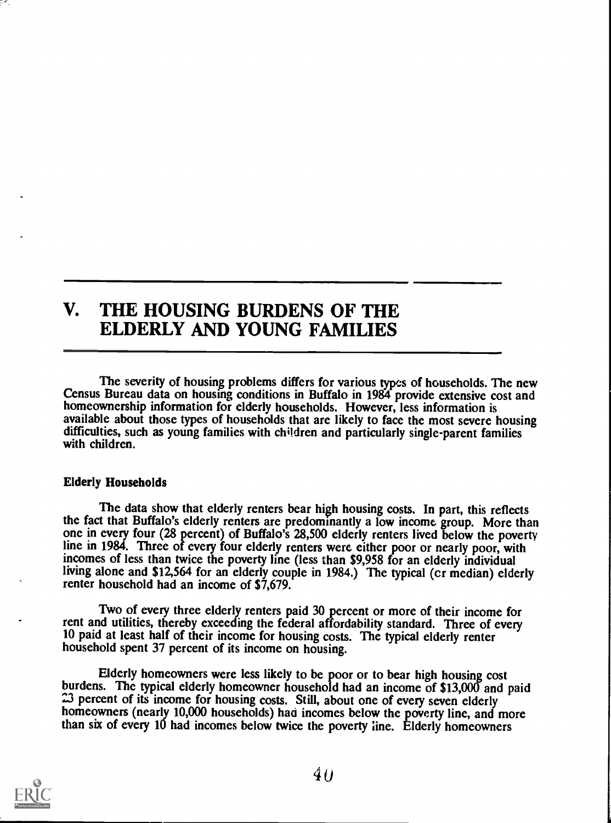### V. THE HOUSING BURDENS OF THE ELDERLY AND YOUNG FAMILIES

The severity of housing problems differs for various types of households. The new Census Bureau data on housing conditions in Buffalo in 1984 provide extensive cost and homeownership information for elderly households. However, less information is available about those types of households that are likely to face the most severe housing difficulties, such as young families with children and particularly single-parent families with children.

### Elderly Households

The data show that elderly renters bear high housing costs. In part, this reflects the fact that Buffalo's elderly renters are predominantly a low income group. More than one in every four (28 percent) of Buffalo's 28,500 elderly renters lived below the poverty line in 1984. Three of every four elderly renters were either poor or nearly poor, with incomes of less than twice the poverty line (less than \$9,958 for an elderly individual living alone and \$12,564 for an elderly couple in 1984.) The typical (cr median) elderly renter household had an income of \$7,679.

Two of every three elderly renters paid 30 percent or more of their income for rent and utilities, thereby exceeding the federal affordability standard. Three of every 10 paid at least half of their income for housing costs. The typical elderly renter household spent 37 percent of its income on housing.

Elderly homeowners were less likely to be poor or to bear high housing cost burdens. The typical elderly homeowner household had an income of \$13,000 and paid 23 percent of its income for housing costs. Still, about one of every seven elderly homeowners (nearly 10,000 households) had incomes below the poverty line, and more than six of every 10 had incomes below twice the poverty line. Elderly homeowners

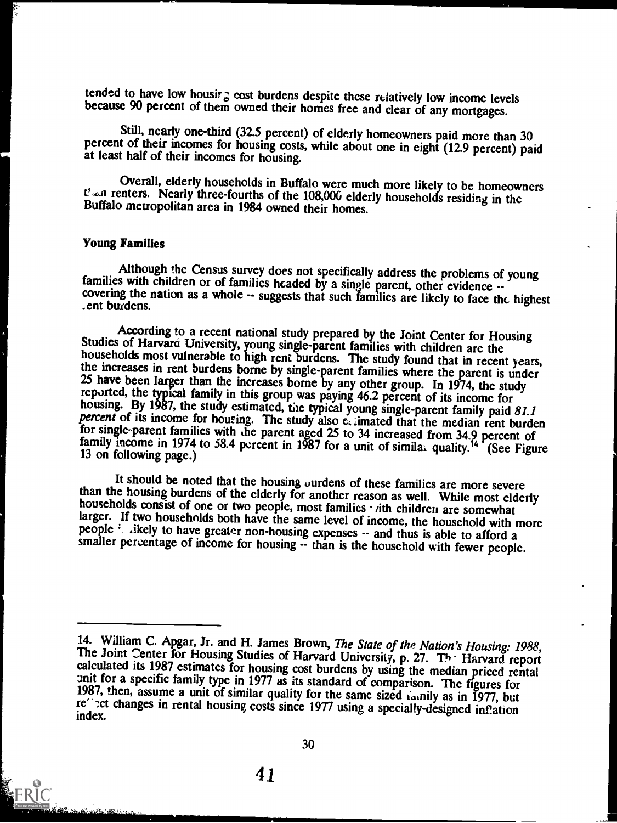tended to have low housir; cost burdens despite these relatively low income levels because 90 percent of them owned their homes free and clear of any mortgages.

Still, nearly one-third (32.5 percent) of elderly homeowners paid more than 30 percent of their incomes for housing costs, while about one in eight (12.9 percent) paid at least half of their incomes for housing.

Overall, elderly households in Buffalo were much more likely to be homeowners than renters. Nearly three-fourths of the 108,000 elderly households residing in the Buffalo metropolitan area in 1984 owned their homes.

### Young Families

Although the Census survey does not specifically address the problems of young<br>families with children or of families headed by a single parent, other evidence --<br>covering the nation as a whole -- suggests that such familie

According to a recent national study prepared by the Joint Center for Housing<br>Studies of Harvard University, young single-parent families with children are the<br>households most vulnerable to high rent burdens. The study fo

It should be noted that the housing ourdens of these families are more severe<br>than the housing burdens of the elderly for another reason as well. While most elderly<br>households consist of one or two people, most families

<sup>14.</sup> William C. Apgar, Jr. and H. James Brown, *The State of the Nation's Housing: 1988*, The Joint Center for Housing Studies of Harvard University, p. 27. The Harvard report calculated its 1987 estimates for housing cost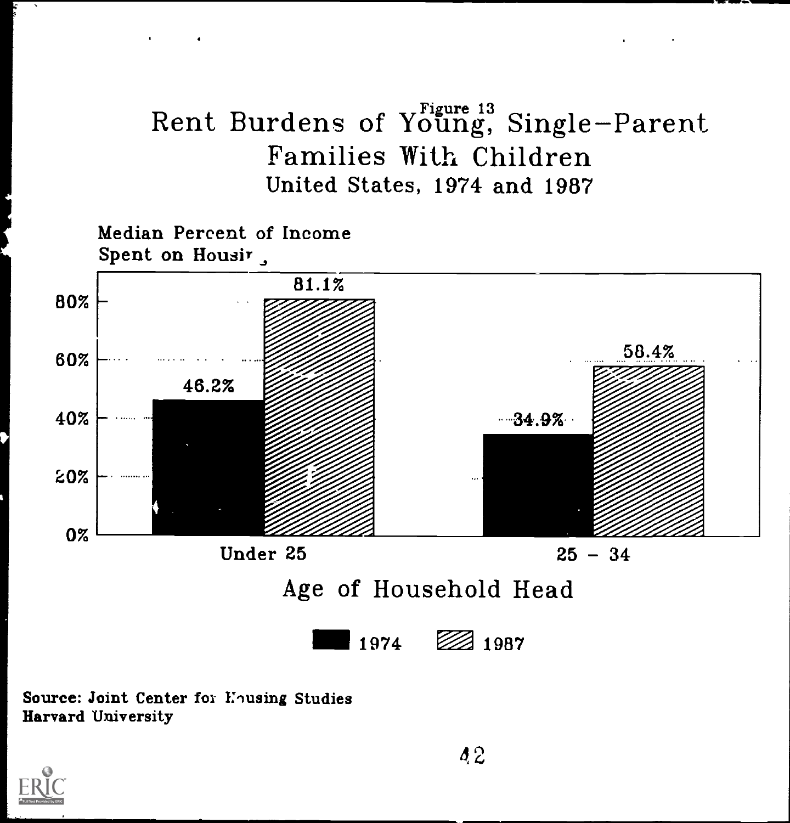## Rent Burdens of Young, Single-Parent Families With Children United States, 1974 and 1987



Source: Joint Center for Housing Studies Harvard University

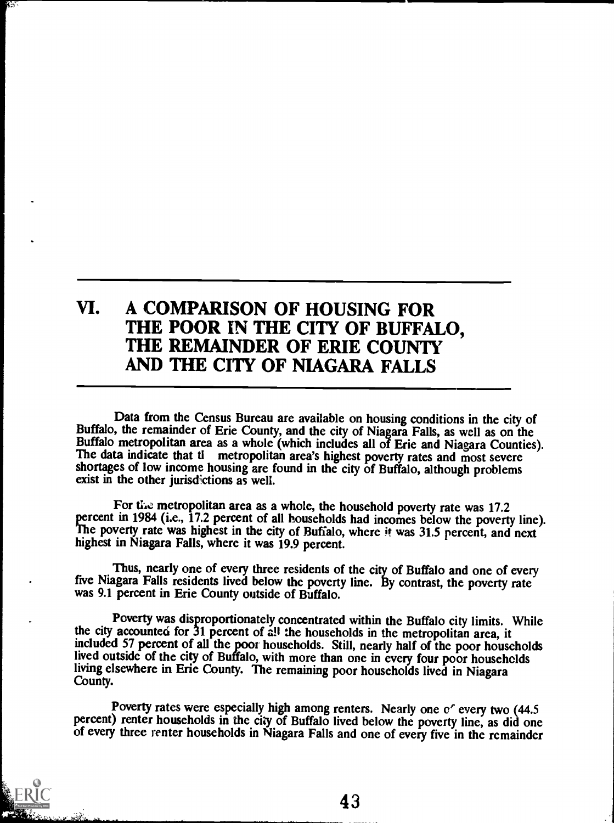### VI. A COMPARISON OF HOUSING FOR THE POOR IN THE CITY OF BUFFALO, THE REMAINDER OF ERIE COUNTY AND THE CITY OF NIAGARA FALLS

Data from the Census Bureau are available on housing conditions in the city of Buffalo, the remainder of Erie County, and the city of Niagara Falls, as well as on the Buffalo metropolitan area as a whole (which includes all of Erie and Niagara Counties). The data indicate that tl metropolitan area's highest poverty rates and most severe shortages of low income housing are found in the city of Buffalo, although problems exist in the other jurisdictions as well.

For the metropolitan area as a whole, the household poverty rate was 17.2 percent in 1984 (i.e., 17.2 percent of all households had incomes below the poverty line). The poverty rate was highest in the city of Buffalo, where it was 31.5 percent, and next highest in Niagara Falls, where it was 19.9 percent.

Thus, nearly one of every three residents of the city of Buffalo and one of every five Niagara Falls residents lived below the poverty line. By contrast, the poverty rate was 9.1 percent in Erie County outside of Buffalo.

Poverty was disproportionately concentrated within the Buffalo city limits. While the city accounted for 31 percent of all the households in the metropolitan area, it included 57 percent of all the poor households. Still, nearly half of the poor households lived outside of the city of Buffalo, with more than one in every four poor households living elsewhere in Erie County. The remaining poor households lived in Niagara County.

Poverty rates were especially high among renters. Nearly one of every two (44.5 percent) renter households in the city of Buffalo lived below the poverty line, as did one of every three renter households in Niagara Falls a



 $\mathcal{L}_{\mathcal{F}}$  .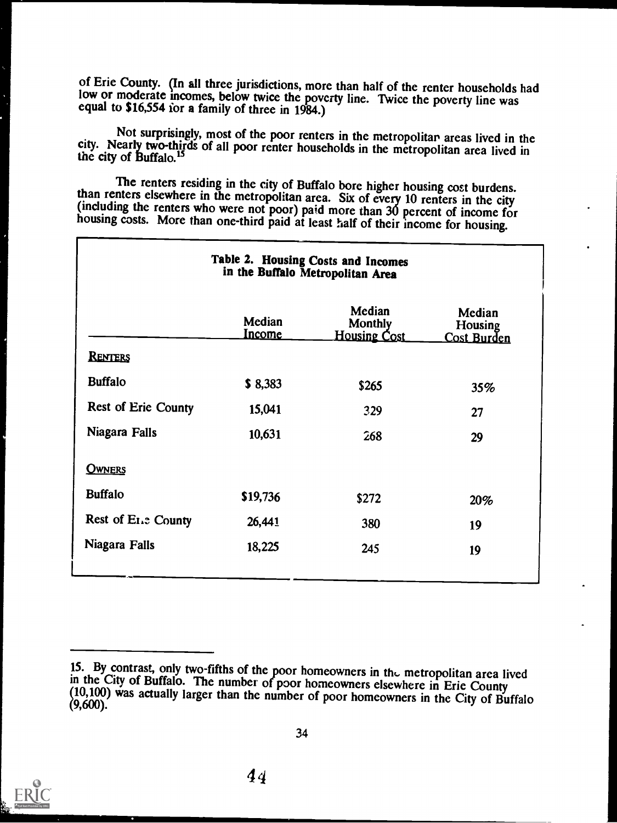of Erie County. (In all three jurisdictions, more than half of the renter households had low or moderate incomes, below twice the poverty line. Twice the poverty line was equal to \$16,554 for a family of three in 1984.)

Not surprisingly, most of the poor renters in the metropolitan areas lived in the city. Nearly two-thirds of all poor renter households in the metropolitan area lived in the city of Buffalo.<sup>15</sup>

The renters residing in the city of Buffalo bore higher housing cost burdens.<br>than renters elsewhere in the metropolitan area. Six of every 10 renters in the city<br>(including the renters who were not poor) paid more than 30

| Table 2. Housing Costs and Incomes<br>in the Buffalo Metropolitan Area |                         |                                                 |                                         |
|------------------------------------------------------------------------|-------------------------|-------------------------------------------------|-----------------------------------------|
|                                                                        | Median<br><u>Income</u> | Median<br><b>Monthly</b><br><b>Housing Cost</b> | Median<br>Housing<br><u>Cost Burden</u> |
| RENTERS                                                                |                         |                                                 |                                         |
| <b>Buffalo</b>                                                         | \$8,383                 | \$265                                           | 35%                                     |
| <b>Rest of Erie County</b>                                             | 15,041                  | 329                                             | 27                                      |
| Niagara Falls                                                          | 10,631                  | 268                                             | 29                                      |
| <b>OWNERS</b>                                                          |                         |                                                 |                                         |
| <b>Buffalo</b>                                                         | \$19,736                | \$272                                           | 20%                                     |
| Rest of Ene County                                                     | 26,441                  | 380                                             | 19                                      |
| Niagara Falls                                                          | 18,225                  | 245                                             | 19                                      |



<sup>15.</sup> By contrast, only two-fifths of the poor homeowners in the metropolitan area lived<br>in the City of Buffalo. The number of poor homeowners elsewhere in Erie County<br>(10,100) was actually larger than the number of poor ho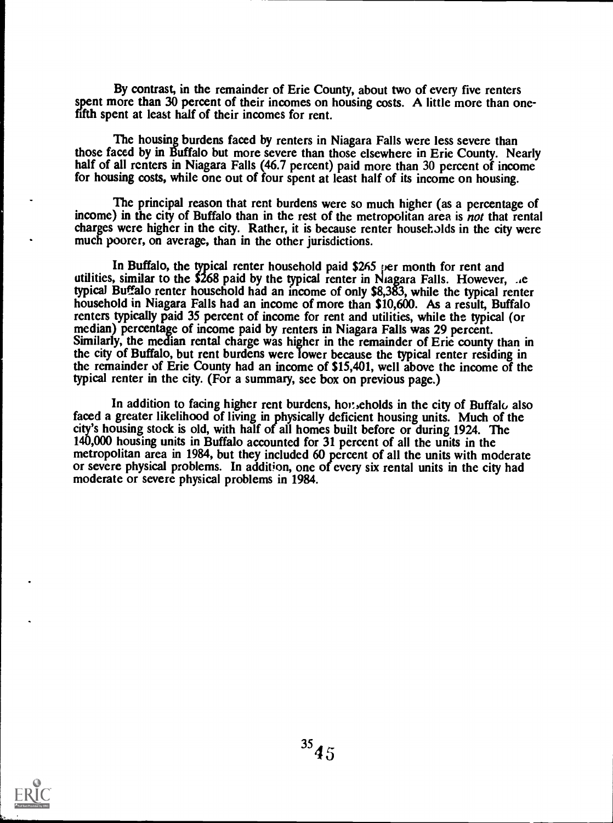By contrast, in the remainder of Erie County, about two of every five renters spent more than 30 percent of their incomes on housing costs. A little more than onefifth spent at least half of their incomes for rent.

The housing burdens faced by renters in Niagara Falls were less severe than those faced by in Buffalo but more severe than those elsewhere in Erie County. Nearly half of all renters in Niagara Falls (46.7 percent) paid more than 30 percent of income for housing costs, while one out of four spent at least half of its income on housing.

The principal reason that rent burdens were so much higher (as a percentage of income) in the city of Buffalo than in the rest of the metropolitan area is not that rental charges were higher in the city. Rather, it is because renter households in the city were much poorer, on average, than in the other jurisdictions.

In Buffalo, the typical renter household paid \$265 per month for rent and utilities, similar to the \$268 paid by the typical renter in Niagara Falls. However, .ie typical Buffalo renter household had an income of only \$8,383, while the typical renter household in Niagara Falls had an income of more than \$10,600. As a result, Buffalo renters typically paid 35 percent of income for rent and utilities, while the typical (or median) percentage of income paid by renters in Niagara Falls was 29 percent. Similarly, the median rental charge was higher in the remainder of Erie county than in the city of Buffalo, but rent burdens were lower because the typical renter residing in the remainder of Erie County had an income of \$15,401, well above the income of the typical renter in the city. (For a summary, see box on previous page.)

In addition to facing higher rent burdens, horiently scholds in the city of Buffalo also faced a greater likelihood of living in physically deficient housing units. Much of the city's housing stock is old, with half of all homes built before or during 1924. The 140,000 housing units in Buffalo accounted for 31 percent of all the units in the metropolitan area in 1984, but they included 60 percent of all the units with moderate or severe physical problems. In addition, one of every six rental units in the city had moderate or severe physical problems in 1984.

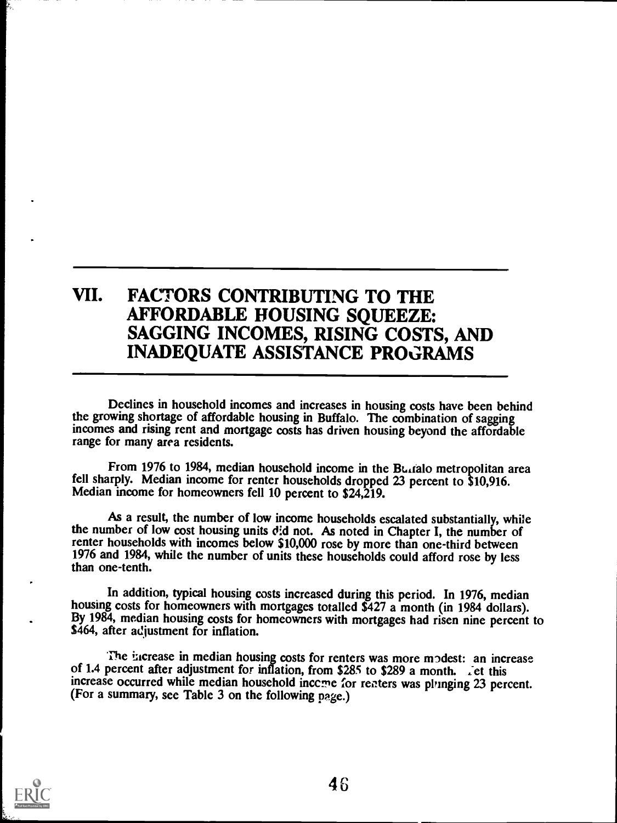### VII. FACTORS CONTRIBUTING TO THE AFFORDABLE HOUSING SQUEEZE: SAGGING INCOMES, RISING COSTS, AND INADEQUATE ASSISTANCE PROGRAMS

Declines in household incomes and increases in housing costs have been behind the growing shortage of affordable housing in Buffalo. The combination of sagging incomes and rising rent and mortgage costs has driven housing beyond the affordable range for many area residents.

From 1976 to 1984, median household income in the Bultalo metropolitan area fell sharply. Median income for renter households dropped 23 percent to \$10,916. Median income for homeowners fell 10 percent to \$24,219.

As a result, the number of low income households escalated substantially, while the number of low cost housing units d:d not. As noted in Chapter I, the number of renter households with incomes below \$10,000 rose by more than one-third between 1976 and 1984, while the number of units these households could afford rose by less than one-tenth.

In addition, typical housing costs increased during this period. In 1976, median housing costs for homeowners with mortgages totalled \$427 a month (in 1984 dollars). By 1984, median housing costs for homeowners with mortgages had risen nine percent to \$464, after adjustment for inflation.

The increase in median housing costs for renters was more modest: an increase of 1.4 percent after adjustment for inflation, from \$285 to \$289 a month. :et this increase occurred while median household inceme for renters was phinging 23 percent. (For a summary, see Table 3 on the following page.)

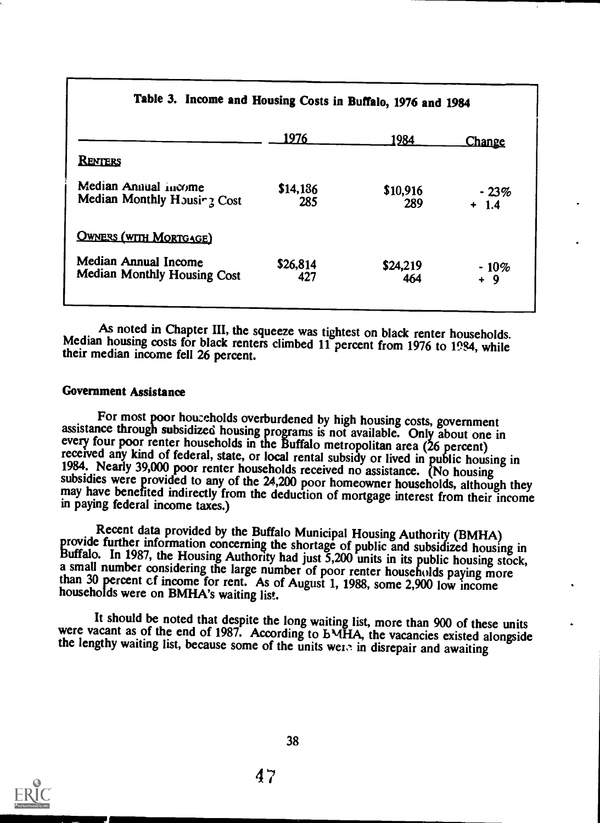| Table 5. Income and Housing Costs in Bullaio, 1976 and 1984       |                 |                 |                   |
|-------------------------------------------------------------------|-----------------|-----------------|-------------------|
|                                                                   | 1976            | <u> 1984 </u>   | <b>Change</b>     |
| <b>RENTERS</b>                                                    |                 |                 |                   |
| Median Annual income<br>Median Monthly Housing Cost               | \$14,186<br>285 | \$10,916<br>289 | $-23%$<br>$+ 1.4$ |
| <b>OWNERS (WITH MORTGAGE)</b>                                     |                 |                 |                   |
| <b>Median Annual Income</b><br><b>Median Monthly Housing Cost</b> | \$26,814<br>427 | \$24,219<br>464 | $-10%$<br>+ 9     |
|                                                                   |                 |                 |                   |

### Table 3. Income and Housing Costs in Buffalo, 1976 and 1984

As noted in Chapter III, the squeeze was tightest on black renter households. Median housing costs for black renters climbed 11 percent from 1976 to 1984, while their median income fell 26 percent.

### Government Assistance

For most poor households overburdened by high housing costs, government<br>assistance through subsidized housing programs is not available. Only about one in<br>every four poor renter households in the Buffalo metropolitan area

Recent data provided by the Buffalo Municipal Housing Authority (BMHA)<br>provide further information concerning the shortage of public and subsidized housing in<br>Buffalo. In 1987, the Housing Authority had just 5,200 units in

It should be noted that despite the long waiting list, more than 900 of these units were vacant as of the end of 1987. According to bMHA, the vacancies existed alongside the lengthy waiting list, because some of the units

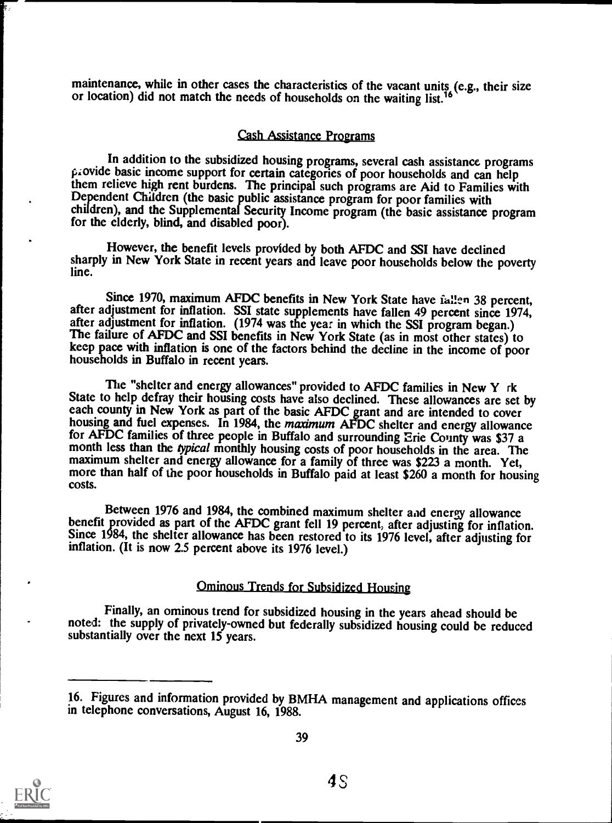maintenance, while in other cases the characteristics of the vacant units (e.g., their size or location) did not match the needs of households on the waiting list.<sup>16</sup>

#### Cash Assistance Programs

In addition to the subsidized housing programs, several cash assistance programs provide basic income support for certain categories of poor households and can help them relieve high rent burdens. The principal such programs are Aid to Families with Dependent Children (the basic public assistance program for poor families with children), and the Supplemental Security Income program (the basic assistance program for the elderly, blind, and disabled poor).

However, the benefit levels provided by both AFDC and SSI have declined sharply in New York State in recent years and leave poor households below the poverty line.

Since 1970, maximum AFDC benefits in New York State have fallen 38 percent, after adjustment for inflation. SSI state supplements have fallen 49 percent since 1974, after adjustment for inflation. (1974 was the year in whi keep pace with inflation is one of the factors behind the decline in the income of poor households in Buffalo in recent years.

The "shelter and energy allowances" provided to AFDC families in New Y rk<br>State to help defray their housing costs have also declined. These allowances are set by each county in New York as part of the basic AFDC grant and are intended to cover<br>housing and fuel expenses. In 1984, the maximum AFDC shelter and energy allowance for AFDC families of three people in Buffalo and surrounding Erie County was \$37 a month less than the *typical* monthly housing costs of poor households in the area. The maximum shelter and energy allowance for a family o costs.

Between 1976 and 1984, the combined maximum shelter and energy allowance<br>benefit provided as part of the AFDC grant fell 19 percent, after adjusting for inflation.<br>Since 1984, the shelter allowance has been restored to its inflation. (It is now 2.5 percent above its 1976 level.)

### Ominous Trends for Subsidized Housing

Finally, an ominous trend for subsidized housing in the years ahead should be noted: the supply of privately-owned but federally subsidized housing could be reduced substantially over the next 15 years.



ķ,

<sup>16.</sup> Figures and information provided by BMHA management and applications offices in telephone conversations, August 16, 1988.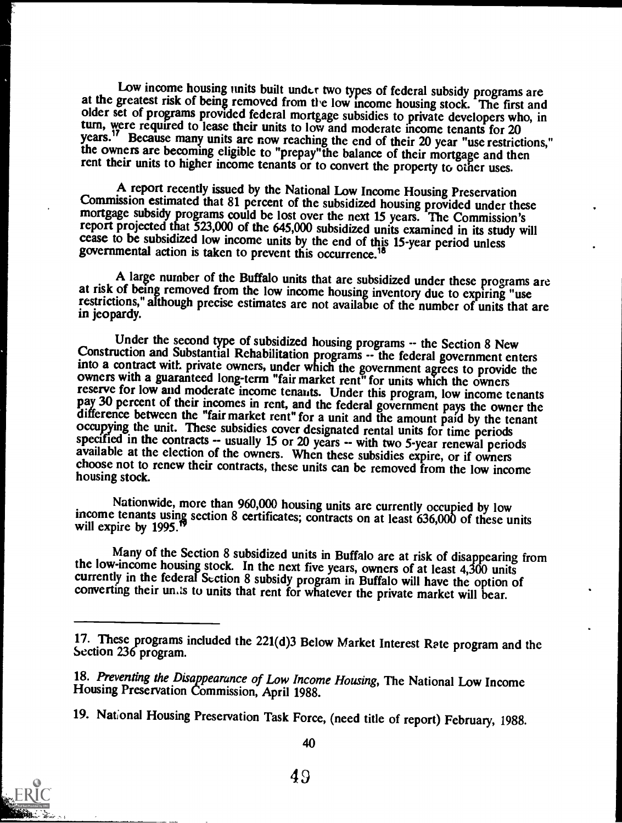Low income housing units built under two types of federal subsidy programs are<br>at the greatest risk of being removed from the low income housing stock. The first and<br>older set of programs provided federal mortgage subsidie years.<sup>17</sup> Because many units are now reaching the end of their 20 year "use restrictions,"<br>the owners are becoming eligible to "prepay" the balance of their mortgage and then rent their units to higher income tenants or to convert the property to other uses.

A report recently issued by the National Low Income Housing Preservation<br>Commission estimated that 81 percent of the subsidized housing provided under these<br>mortgage subsidy programs could be lost over the next 15 years. T cease to be subsidized low income units by the end of this 15-year period unless governmental action is taken to prevent this occurrence.<sup>18</sup>

A large number of the Buffalo units that are subsidized under these programs are at risk of being removed from the low income housing inventory due to expiring "use restrictions," although precise estimates are not available of the number of units that are in jeopardy.

Under the second type of subsidized housing programs -- the Section 8 New Construction and Substantial Rehabilitation programs -- the federal government enters into a contract with private owners, under which the government agrees to provide the<br>owners with a guaranteed long-term "fair market rent" for units which the owners<br>reserve for low and moderate income tenants. Under this

Nationwide, more than 960,000 housing units are currently occupied by low income tenants using section 8 certificates; contracts on at least 636,000 of these units will expire by 1995.<sup>19</sup>

Many of the Section 8 subsidized units in Buffalo are at risk of disappearing from the low-income housing stock. In the next five years, owners of at least 4,300 units currently in the federal Section 8 subsidy program in Buffalo will have the option of converting their un is to units that rent for whatever the private market will bear.



40

<sup>17.</sup> These programs included the 221(d)3 Below Market Interest Rate program and the Section 236 program.

<sup>18.</sup> Preventing the Disappearance of Low Income Housing, The National Low Income Housing Preservation Commission, April 1988.

<sup>19.</sup> National Housing Preservation Task Force, (need title of report) February, 1988.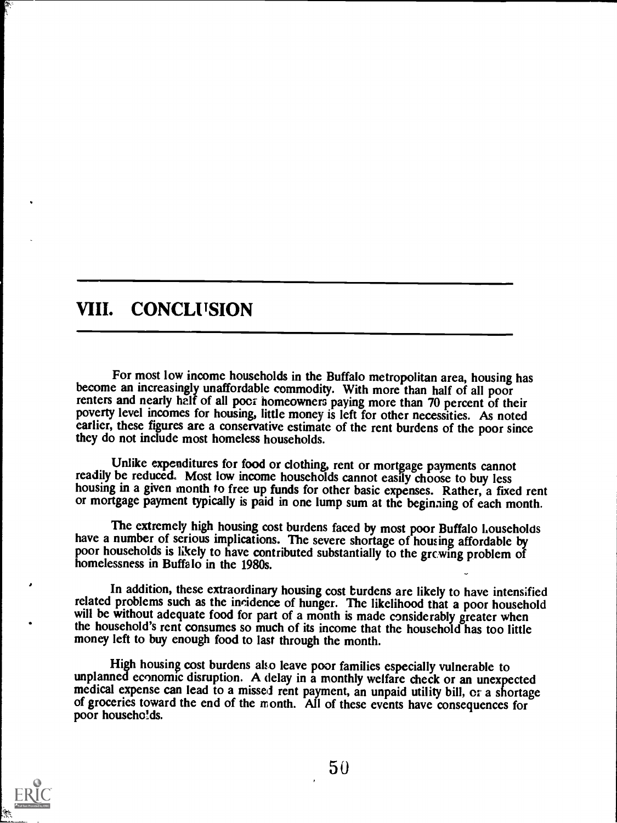### VIII. CONCLUSION

For most low income households in the Buffalo metropolitan area, housing has become an increasingly unaffordable commodity. With more than half of all poor renters and nearly half of all poor homeowners paying more than 70 poverty level incomes for housing, little money is left for other necessities. As noted earlier, these figures are a conservative estimate of the rent burdens of the poor since they do not include most homeless households.

Unlike expenditures for food or clothing, rent or mortgage payments cannot<br>readily be reduced. Most low income households cannot easily choose to buy less<br>housing in a given month to free up funds for other basic expenses.

The extremely high housing cost burdens faced by most poor Buffalo Louseholds<br>have a number of serious implications. The severe shortage of housing affordable by<br>poor households is likely to have contributed substantially

In addition, these extraordinary housing cost burdens are likely to have intensified related problems such as the incidence of hunger. The likelihood that a poor household will be without adequate food for part of a month is made considerably greater when the household's rent consumes so much of its income that the household has too little money left to buy enough food to last through the month.

High housing cost burdens also leave poor families especially vulnerable to unplanned economic disruption. A delay in a monthly welfare check or an unexpected medical expense can lead to a missed rent payment, an unpaid utility bill, or a shortage of groceries toward the end of the month. All of these events have consequences for poor households.

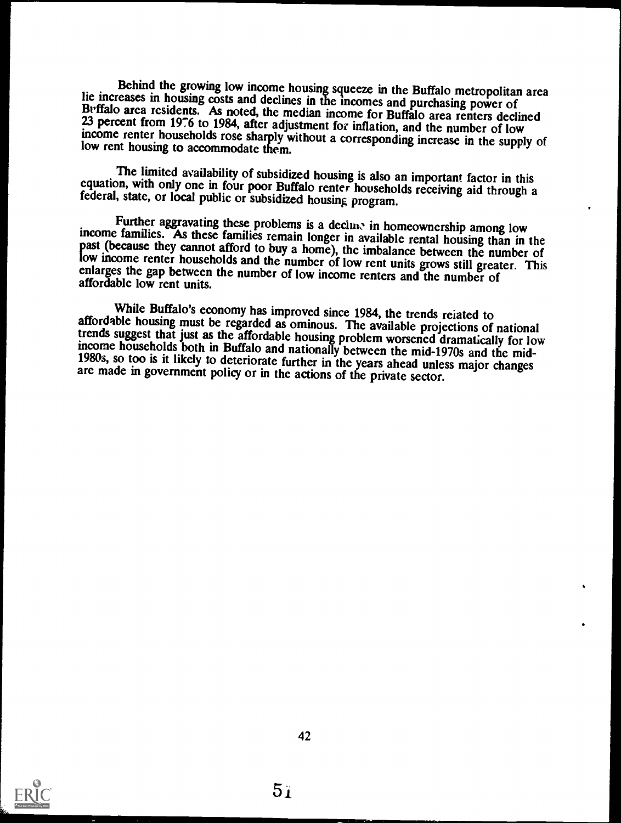Behind the growing low income housing squeeze in the Buffalo metropolitan area<br>lie increases in housing costs and declines in the incomes and purchasing power of<br>Buffalo area residents. As noted, the median income for Buff

The limited availability of subsidized housing is also an important factor in this equation, with only one in four poor Buffalo renter households receiving aid through a federal, state, or local public or subsidized housin

Further aggravating these problems is a declined in homeownership among low<br>income families. As these families remain longer in available rental housing than in the<br>past (because they cannot afford to buy a home), the imba

While Buffalo's economy has improved since 1984, the trends reiated to<br>affordable housing must be regarded as ominous. The available projections of national<br>trends suggest that just as the affordable housing problem worsen



 $5i$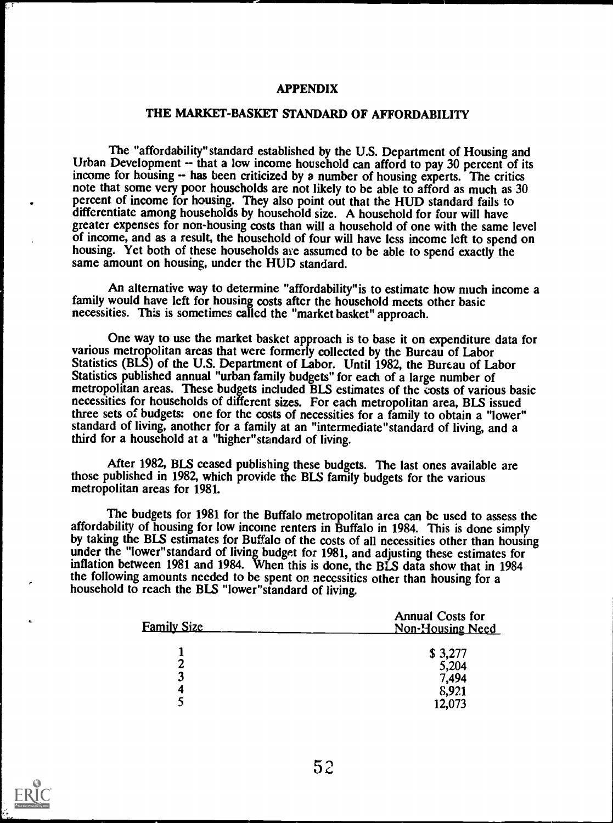#### APPENDIX

### THE MARKET-BASKET STANDARD OF AFFORDABILITY

The "affordability" standard established by the U.S. Department of Housing and Urban Development -- that a low income household can afford to pay 30 percent of its income for housing -- has been criticized by a number of housing experts. The critics note that some very poor households are not likely to be able to afford as much as 30 percent of income for housing. They also point out that the HUD standard fails to differentiate among households by household size. A household for four will have greater expenses for non-housing costs than will a household of one with the same level of income, and as a result, the household of four will have less income left to spend on housing. Yet both of these households are assumed to be able to spend exactly the same amount on housing, under the HUD standard.

An alternative way to determine "affordability"is to estimate how much income a family would have left for housing costs after the household meets other basic necessities. This is sometimes called the "market basket" approach.

One way to use the market basket approach is to base it on expenditure data for various metropolitan areas that were formerly collected by the Bureau of Labor Statistics (BLS) of the U.S. Department of Labor. Until 1982, the Bureau of Labor Statistics published annual "urban family budgets" for each of a large number of metropolitan areas. These budgets included BLS estimates of the costs of various basic necessities for households of different sizes. For each metropolitan area, BLS issued three sets of budgets: one for the costs of necessities for a family to obtain a "lower" standard of living, another for a family at an "intermediate"standard of living, and a third for a household at a "higher"standard of living.

After 1982, BLS ceased publishing these budgets. The last ones available are those published in 1982, which provide the BLS family budgets for the various metropolitan areas for 1981.

The budgets for 1981 for the Buffalo metropolitan area can be used to assess the affordability of housing for low income renters in Buffalo in 1984. This is done simply by taking the BLS estimates for Buffalo of the costs of all necessities other than housing under the "lower" standard of living budget for 1981, and adjusting these estimates for inflation between 1981 and 1984. When this is done, the BLS data show that in 1984 the following amounts needed to be spent on necessities other than housing for a household to reach the BLS "lower"standard of living.

| <u>Family Size</u> | <b>Annual Costs for</b><br><b>Non-Housing Need</b> |  |  |
|--------------------|----------------------------------------------------|--|--|
|                    | \$3,277                                            |  |  |
| π                  | 5,204                                              |  |  |
| 3                  | 7,494                                              |  |  |
| 4                  | 8,921                                              |  |  |
|                    | 12,073                                             |  |  |



.